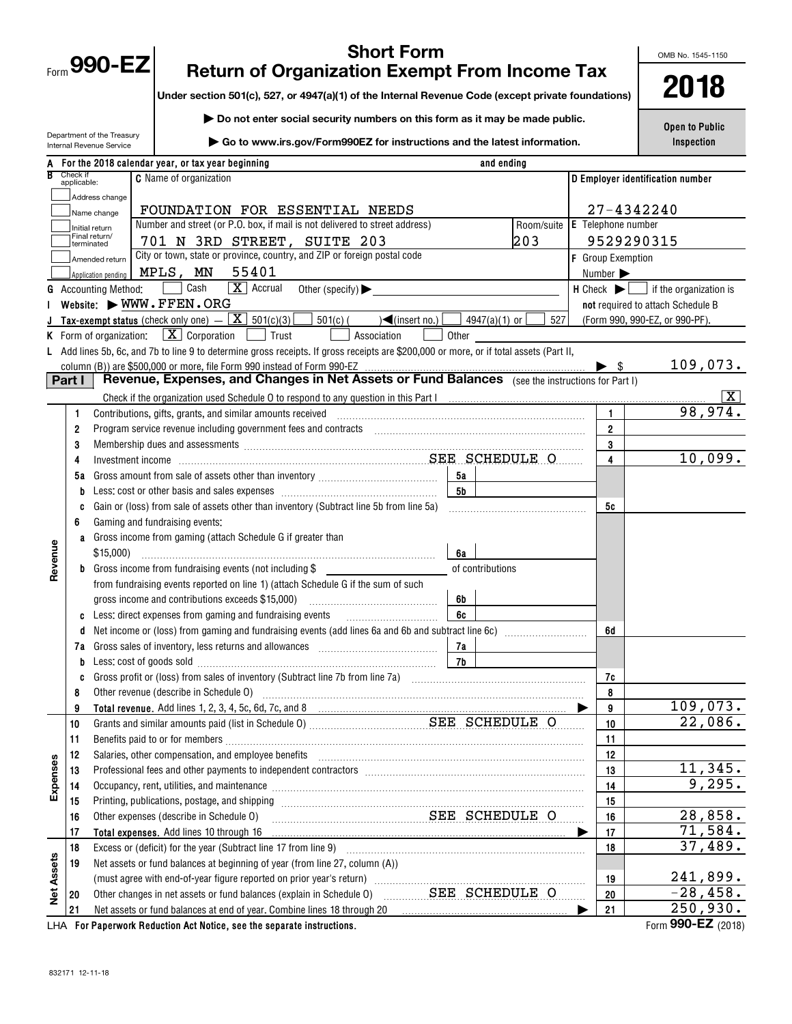ï

Department of the Treasury

# **Short Form Return of Organization Exempt From Income Tax**

**Under section 501(c), 527, or 4947(a)(1) of the Internal Revenue Code (except private foundations)**

**| Do not enter social security numbers on this form as it may be made public. | Go to www.irs.gov/Form990EZ for instructions and the latest information.**

OMB No. 1545-1150

**2018**

**Open to Public Inspection**

| $\triangleright$ Go to www.irs.gov/Form990EZ for instructions and the latest information.<br>Internal Revenue Service |                                                                                                  |                                                                                                                                                                                                                               |  |  |                        |      |  |                              |  |  |  |                             | <b>INSPECTION</b>                                                           |                                   |                |                         |  |                               |  |                                                                                                    |                              |                   |  |                                  |                    |
|-----------------------------------------------------------------------------------------------------------------------|--------------------------------------------------------------------------------------------------|-------------------------------------------------------------------------------------------------------------------------------------------------------------------------------------------------------------------------------|--|--|------------------------|------|--|------------------------------|--|--|--|-----------------------------|-----------------------------------------------------------------------------|-----------------------------------|----------------|-------------------------|--|-------------------------------|--|----------------------------------------------------------------------------------------------------|------------------------------|-------------------|--|----------------------------------|--------------------|
|                                                                                                                       |                                                                                                  | For the 2018 calendar year, or tax year beginning                                                                                                                                                                             |  |  |                        |      |  |                              |  |  |  |                             |                                                                             |                                   |                | and ending              |  |                               |  |                                                                                                    |                              |                   |  |                                  |                    |
| R                                                                                                                     | Check if<br>applicable:                                                                          |                                                                                                                                                                                                                               |  |  | C Name of organization |      |  |                              |  |  |  |                             |                                                                             |                                   |                |                         |  |                               |  |                                                                                                    |                              |                   |  | D Employer identification number |                    |
|                                                                                                                       |                                                                                                  | Address change                                                                                                                                                                                                                |  |  |                        |      |  |                              |  |  |  |                             |                                                                             |                                   |                |                         |  |                               |  |                                                                                                    |                              |                   |  |                                  |                    |
|                                                                                                                       |                                                                                                  | Name change                                                                                                                                                                                                                   |  |  |                        |      |  |                              |  |  |  |                             | FOUNDATION FOR ESSENTIAL NEEDS                                              |                                   |                |                         |  |                               |  |                                                                                                    |                              | 27-4342240        |  |                                  |                    |
|                                                                                                                       |                                                                                                  | Initial return                                                                                                                                                                                                                |  |  |                        |      |  |                              |  |  |  |                             | Number and street (or P.O. box, if mail is not delivered to street address) |                                   |                |                         |  | Room/suite E Telephone number |  |                                                                                                    |                              |                   |  |                                  |                    |
|                                                                                                                       |                                                                                                  | Final return/<br>terminated                                                                                                                                                                                                   |  |  |                        |      |  |                              |  |  |  | 701 N 3RD STREET, SUITE 203 |                                                                             |                                   |                |                         |  | 203                           |  |                                                                                                    |                              | 9529290315        |  |                                  |                    |
|                                                                                                                       |                                                                                                  | Amended return                                                                                                                                                                                                                |  |  |                        |      |  |                              |  |  |  |                             | City or town, state or province, country, and ZIP or foreign postal code    |                                   |                |                         |  |                               |  |                                                                                                    |                              | F Group Exemption |  |                                  |                    |
|                                                                                                                       |                                                                                                  | Application pending                                                                                                                                                                                                           |  |  | MPLS, MN               |      |  | 55401                        |  |  |  |                             |                                                                             |                                   |                |                         |  |                               |  |                                                                                                    | Number $\blacktriangleright$ |                   |  |                                  |                    |
| G                                                                                                                     |                                                                                                  | <b>Accounting Method:</b>                                                                                                                                                                                                     |  |  |                        | Cash |  | $\boxed{\mathbf{X}}$ Accrual |  |  |  |                             | Other (specify) $\blacktriangleright$                                       |                                   |                |                         |  |                               |  |                                                                                                    |                              |                   |  |                                  |                    |
|                                                                                                                       |                                                                                                  | Website: WWW.FFEN.ORG                                                                                                                                                                                                         |  |  |                        |      |  |                              |  |  |  |                             |                                                                             |                                   |                |                         |  |                               |  | $H$ Check $\blacktriangleright$ $\Box$ if the organization is<br>not required to attach Schedule B |                              |                   |  |                                  |                    |
|                                                                                                                       |                                                                                                  | Tax-exempt status (check only one) $-\boxed{\mathbf{X}}$ 501(c)(3)                                                                                                                                                            |  |  |                        |      |  |                              |  |  |  | 501(c) (                    |                                                                             | $\sqrt{\frac{2}{1}}$ (insert no.) |                | 4947(a)(1) or $\lfloor$ |  | 527                           |  |                                                                                                    |                              |                   |  | (Form 990, 990-EZ, or 990-PF).   |                    |
|                                                                                                                       | <b>K</b> Form of organization: $\boxed{\textbf{X}}$ Corporation<br>Trust<br>Association<br>Other |                                                                                                                                                                                                                               |  |  |                        |      |  |                              |  |  |  |                             |                                                                             |                                   |                |                         |  |                               |  |                                                                                                    |                              |                   |  |                                  |                    |
|                                                                                                                       |                                                                                                  | Add lines 5b, 6c, and 7b to line 9 to determine gross receipts. If gross receipts are \$200,000 or more, or if total assets (Part II,                                                                                         |  |  |                        |      |  |                              |  |  |  |                             |                                                                             |                                   |                |                         |  |                               |  |                                                                                                    |                              |                   |  |                                  |                    |
|                                                                                                                       |                                                                                                  | column (B)) are \$500,000 or more, file Form 990 instead of Form 990-EZ                                                                                                                                                       |  |  |                        |      |  |                              |  |  |  |                             |                                                                             |                                   |                |                         |  |                               |  |                                                                                                    |                              |                   |  |                                  | 109,073.           |
|                                                                                                                       | Part I                                                                                           |                                                                                                                                                                                                                               |  |  |                        |      |  |                              |  |  |  |                             |                                                                             |                                   |                |                         |  |                               |  |                                                                                                    |                              |                   |  |                                  |                    |
|                                                                                                                       |                                                                                                  |                                                                                                                                                                                                                               |  |  |                        |      |  |                              |  |  |  |                             |                                                                             |                                   |                |                         |  |                               |  |                                                                                                    |                              |                   |  |                                  | $\boxed{\text{X}}$ |
|                                                                                                                       | 1                                                                                                |                                                                                                                                                                                                                               |  |  |                        |      |  |                              |  |  |  |                             |                                                                             |                                   |                |                         |  |                               |  |                                                                                                    | $\mathbf{1}$                 |                   |  |                                  | 98,974.            |
|                                                                                                                       | $\overline{2}$                                                                                   | Program service revenue including government fees and contracts [11] matter contracts [11] program service revenue including government fees and contracts [11] matter contracts and contracts [11] $\alpha$                  |  |  |                        |      |  |                              |  |  |  |                             |                                                                             |                                   |                |                         |  |                               |  |                                                                                                    | $\overline{2}$               |                   |  |                                  |                    |
|                                                                                                                       | 3                                                                                                | Membership dues and assessments [111] Membership and assessments [11] Membership and assessments [11] Membership and assessments [11] Membership and assessments [11] Membership and a state of the state of the state of the |  |  |                        |      |  |                              |  |  |  |                             |                                                                             |                                   |                |                         |  |                               |  |                                                                                                    | 3                            |                   |  |                                  |                    |
|                                                                                                                       | 4                                                                                                |                                                                                                                                                                                                                               |  |  |                        |      |  |                              |  |  |  |                             |                                                                             |                                   |                |                         |  |                               |  |                                                                                                    | $\overline{\mathbf{4}}$      |                   |  |                                  | 10,099.            |
|                                                                                                                       | 5a                                                                                               |                                                                                                                                                                                                                               |  |  |                        |      |  |                              |  |  |  |                             |                                                                             |                                   | 5а             |                         |  |                               |  |                                                                                                    |                              |                   |  |                                  |                    |
|                                                                                                                       |                                                                                                  |                                                                                                                                                                                                                               |  |  |                        |      |  |                              |  |  |  |                             |                                                                             |                                   | 5 <sub>b</sub> |                         |  |                               |  |                                                                                                    |                              |                   |  |                                  |                    |
|                                                                                                                       |                                                                                                  | Gain or (loss) from sale of assets other than inventory (Subtract line 5b from line 5a)                                                                                                                                       |  |  |                        |      |  |                              |  |  |  |                             |                                                                             |                                   |                |                         |  |                               |  |                                                                                                    | 5c                           |                   |  |                                  |                    |
|                                                                                                                       | 6                                                                                                | Gaming and fundraising events:                                                                                                                                                                                                |  |  |                        |      |  |                              |  |  |  |                             |                                                                             |                                   |                |                         |  |                               |  |                                                                                                    |                              |                   |  |                                  |                    |
|                                                                                                                       | a                                                                                                | Gross income from gaming (attach Schedule G if greater than                                                                                                                                                                   |  |  |                        |      |  |                              |  |  |  |                             |                                                                             |                                   |                |                         |  |                               |  |                                                                                                    |                              |                   |  |                                  |                    |
| Revenue                                                                                                               |                                                                                                  | \$15,000                                                                                                                                                                                                                      |  |  |                        |      |  |                              |  |  |  |                             |                                                                             |                                   | 6a             |                         |  |                               |  |                                                                                                    |                              |                   |  |                                  |                    |
|                                                                                                                       | b                                                                                                | Gross income from fundraising events (not including \$                                                                                                                                                                        |  |  |                        |      |  |                              |  |  |  |                             |                                                                             |                                   |                | of contributions        |  |                               |  |                                                                                                    |                              |                   |  |                                  |                    |
|                                                                                                                       |                                                                                                  | from fundraising events reported on line 1) (attach Schedule G if the sum of such                                                                                                                                             |  |  |                        |      |  |                              |  |  |  |                             |                                                                             |                                   |                |                         |  |                               |  |                                                                                                    |                              |                   |  |                                  |                    |
|                                                                                                                       |                                                                                                  | gross income and contributions exceeds \$15,000)                                                                                                                                                                              |  |  |                        |      |  |                              |  |  |  |                             |                                                                             |                                   | 6b             |                         |  |                               |  |                                                                                                    |                              |                   |  |                                  |                    |
|                                                                                                                       |                                                                                                  | Less: direct expenses from gaming and fundraising events                                                                                                                                                                      |  |  |                        |      |  |                              |  |  |  |                             |                                                                             |                                   | 6c             |                         |  |                               |  |                                                                                                    |                              |                   |  |                                  |                    |
|                                                                                                                       |                                                                                                  | Net income or (loss) from gaming and fundraising events (add lines 6a and 6b and subtract line 6c) [[[[[[[[[[[                                                                                                                |  |  |                        |      |  |                              |  |  |  |                             |                                                                             |                                   |                |                         |  |                               |  |                                                                                                    | 6d                           |                   |  |                                  |                    |
|                                                                                                                       | 7a                                                                                               |                                                                                                                                                                                                                               |  |  |                        |      |  |                              |  |  |  |                             |                                                                             |                                   | 7a             |                         |  |                               |  |                                                                                                    |                              |                   |  |                                  |                    |
|                                                                                                                       |                                                                                                  | Less: cost of goods sold with an annumerator and contact the set of goods sold                                                                                                                                                |  |  |                        |      |  |                              |  |  |  |                             |                                                                             |                                   | 7b             |                         |  |                               |  |                                                                                                    |                              |                   |  |                                  |                    |
|                                                                                                                       |                                                                                                  |                                                                                                                                                                                                                               |  |  |                        |      |  |                              |  |  |  |                             |                                                                             |                                   |                |                         |  |                               |  |                                                                                                    | 7с                           |                   |  |                                  |                    |
|                                                                                                                       | 8                                                                                                | Other revenue (describe in Schedule O) manufactured and content to the schedule O)                                                                                                                                            |  |  |                        |      |  |                              |  |  |  |                             |                                                                             |                                   |                |                         |  |                               |  |                                                                                                    | 8                            |                   |  |                                  |                    |
|                                                                                                                       | 9                                                                                                |                                                                                                                                                                                                                               |  |  |                        |      |  |                              |  |  |  |                             |                                                                             |                                   |                |                         |  |                               |  |                                                                                                    | 9                            |                   |  |                                  | 109,073.           |
|                                                                                                                       | 10                                                                                               |                                                                                                                                                                                                                               |  |  |                        |      |  |                              |  |  |  |                             |                                                                             |                                   |                |                         |  |                               |  |                                                                                                    | $10$                         |                   |  |                                  | 22,086.            |
|                                                                                                                       | 11                                                                                               |                                                                                                                                                                                                                               |  |  |                        |      |  |                              |  |  |  |                             |                                                                             |                                   |                |                         |  |                               |  |                                                                                                    | 11                           |                   |  |                                  |                    |
|                                                                                                                       | 12                                                                                               | Salaries, other compensation, and employee benefits                                                                                                                                                                           |  |  |                        |      |  |                              |  |  |  |                             |                                                                             |                                   |                |                         |  |                               |  |                                                                                                    | 12                           |                   |  |                                  |                    |
| Expenses                                                                                                              | 13                                                                                               |                                                                                                                                                                                                                               |  |  |                        |      |  |                              |  |  |  |                             |                                                                             |                                   |                |                         |  |                               |  |                                                                                                    | 13                           |                   |  |                                  | 11,345.            |
|                                                                                                                       | 14                                                                                               | Occupancy, rent, utilities, and maintenance material contains and an analyzing of the material contains and ma                                                                                                                |  |  |                        |      |  |                              |  |  |  |                             |                                                                             |                                   |                |                         |  |                               |  |                                                                                                    | 14                           |                   |  |                                  | 9,295.             |
|                                                                                                                       | 15                                                                                               | Printing, publications, postage, and shipping                                                                                                                                                                                 |  |  |                        |      |  |                              |  |  |  |                             |                                                                             |                                   |                |                         |  |                               |  |                                                                                                    | 15                           |                   |  |                                  |                    |
|                                                                                                                       | 16                                                                                               | Other expenses (describe in Schedule O)                                                                                                                                                                                       |  |  |                        |      |  |                              |  |  |  |                             |                                                                             |                                   |                |                         |  | SEE SCHEDULE O                |  |                                                                                                    | 16                           |                   |  |                                  | 28,858.            |
|                                                                                                                       | 17                                                                                               | Total expenses. Add lines 10 through 16                                                                                                                                                                                       |  |  |                        |      |  |                              |  |  |  |                             |                                                                             |                                   |                |                         |  |                               |  |                                                                                                    | 17                           |                   |  |                                  | 71,584.            |
|                                                                                                                       | 18                                                                                               | Excess or (deficit) for the year (Subtract line 17 from line 9)                                                                                                                                                               |  |  |                        |      |  |                              |  |  |  |                             |                                                                             |                                   |                |                         |  |                               |  |                                                                                                    | 18                           |                   |  |                                  | 37,489.            |
|                                                                                                                       | 19                                                                                               | Net assets or fund balances at beginning of year (from line 27, column (A))                                                                                                                                                   |  |  |                        |      |  |                              |  |  |  |                             |                                                                             |                                   |                |                         |  |                               |  |                                                                                                    |                              |                   |  |                                  |                    |
|                                                                                                                       |                                                                                                  |                                                                                                                                                                                                                               |  |  |                        |      |  |                              |  |  |  |                             |                                                                             | 19                                |                |                         |  | 241,899.                      |  |                                                                                                    |                              |                   |  |                                  |                    |
| <b>Net Assets</b>                                                                                                     | 20                                                                                               | Other changes in net assets or fund balances (explain in Schedule O)                                                                                                                                                          |  |  |                        |      |  |                              |  |  |  |                             |                                                                             |                                   | SEE SCHEDULE O |                         |  |                               |  | 20                                                                                                 |                              |                   |  | $-28,458.$                       |                    |
|                                                                                                                       | 21                                                                                               | Net assets or fund balances at end of year. Combine lines 18 through 20                                                                                                                                                       |  |  |                        |      |  |                              |  |  |  |                             |                                                                             |                                   |                |                         |  |                               |  |                                                                                                    | 21                           |                   |  |                                  | 250,930.           |

LHA For Paperwork Reduction Act Notice, see the separate instructions. Form 990-**L**Z (2018)

Form 990-EZ (2018)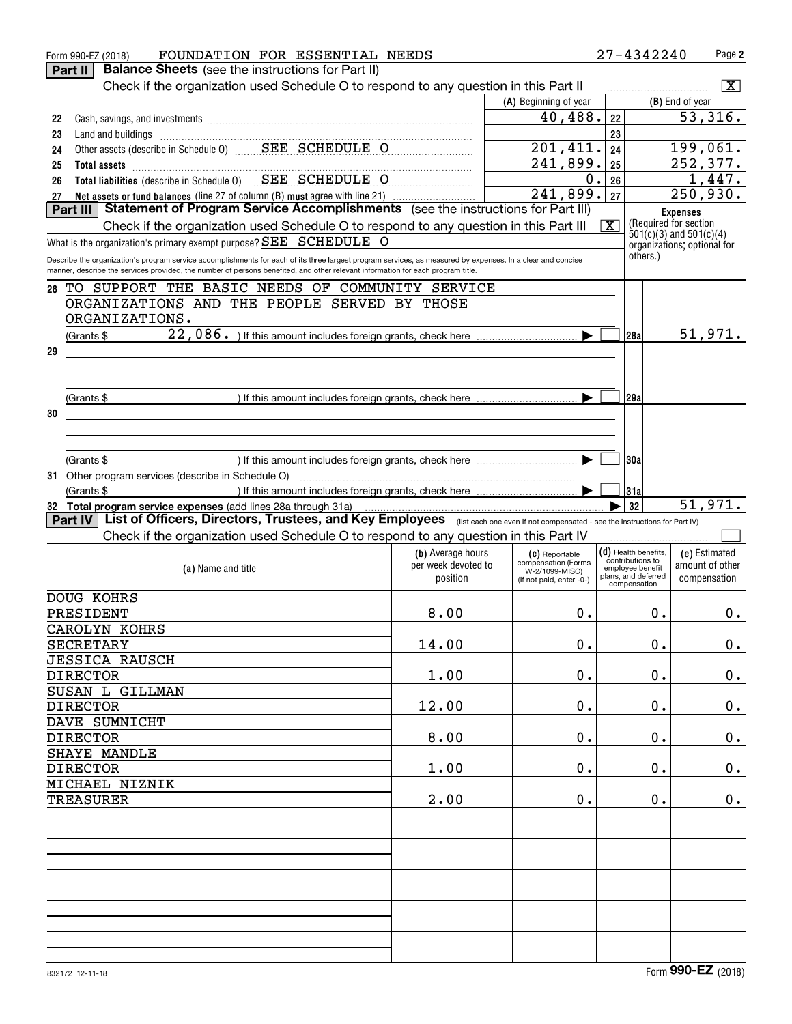|    | FOUNDATION FOR ESSENTIAL NEEDS<br>Form 990-EZ (2018)                                                                                                                                                                                                                           |                     |                                       |                         | 27-4342240                                           | Page 2                      |
|----|--------------------------------------------------------------------------------------------------------------------------------------------------------------------------------------------------------------------------------------------------------------------------------|---------------------|---------------------------------------|-------------------------|------------------------------------------------------|-----------------------------|
|    | <b>Balance Sheets</b> (see the instructions for Part II)<br>Part II                                                                                                                                                                                                            |                     |                                       |                         |                                                      |                             |
|    | Check if the organization used Schedule O to respond to any question in this Part II                                                                                                                                                                                           |                     |                                       |                         |                                                      | $\overline{\mathbf{x}}$     |
|    |                                                                                                                                                                                                                                                                                |                     | (A) Beginning of year                 |                         |                                                      | (B) End of year             |
| 22 |                                                                                                                                                                                                                                                                                |                     | 40,488.                               | 22                      |                                                      | 53,316.                     |
| 23 |                                                                                                                                                                                                                                                                                |                     |                                       | 23                      |                                                      |                             |
| 24 |                                                                                                                                                                                                                                                                                |                     | 201,411.                              | 24                      |                                                      | 199,061.                    |
| 25 | Total assets <b>continuous continuous continuous continuous</b> continuous continuous continuous continuous continuous                                                                                                                                                         |                     | 241,899.                              | 25                      |                                                      | 252, 377.                   |
| 26 | Total liabilities (describe in Schedule 0) SEE SCHEDULE O                                                                                                                                                                                                                      |                     | 0.                                    | 26                      |                                                      | 1,447.                      |
| 27 | Net assets or fund balances (line 27 of column (B) must agree with line 21)                                                                                                                                                                                                    |                     | 241,899.                              | 27                      |                                                      | 250,930.                    |
|    | Statement of Program Service Accomplishments (see the instructions for Part III)<br>Part III                                                                                                                                                                                   |                     |                                       |                         |                                                      | <b>Expenses</b>             |
|    | Check if the organization used Schedule O to respond to any question in this Part III                                                                                                                                                                                          |                     |                                       | $\overline{\mathbf{X}}$ | (Required for section<br>$501(c)(3)$ and $501(c)(4)$ |                             |
|    | What is the organization's primary exempt purpose? SEE SCHEDULE O                                                                                                                                                                                                              |                     |                                       |                         |                                                      | organizations; optional for |
|    | Describe the organization's program service accomplishments for each of its three largest program services, as measured by expenses. In a clear and concise                                                                                                                    |                     |                                       |                         | others.)                                             |                             |
|    | manner, describe the services provided, the number of persons benefited, and other relevant information for each program title.                                                                                                                                                |                     |                                       |                         |                                                      |                             |
| 28 | TO SUPPORT THE BASIC NEEDS OF COMMUNITY SERVICE                                                                                                                                                                                                                                |                     |                                       |                         |                                                      |                             |
|    | ORGANIZATIONS AND THE PEOPLE SERVED BY THOSE                                                                                                                                                                                                                                   |                     |                                       |                         |                                                      |                             |
|    | ORGANIZATIONS.                                                                                                                                                                                                                                                                 |                     |                                       |                         |                                                      |                             |
|    | (Grants \$                                                                                                                                                                                                                                                                     |                     |                                       |                         | 28a                                                  | 51,971.                     |
| 29 |                                                                                                                                                                                                                                                                                |                     |                                       |                         |                                                      |                             |
|    |                                                                                                                                                                                                                                                                                |                     |                                       |                         |                                                      |                             |
|    |                                                                                                                                                                                                                                                                                |                     |                                       |                         |                                                      |                             |
|    | (Grants \$                                                                                                                                                                                                                                                                     |                     |                                       |                         | 29a                                                  |                             |
| 30 |                                                                                                                                                                                                                                                                                |                     |                                       |                         |                                                      |                             |
|    |                                                                                                                                                                                                                                                                                |                     |                                       |                         |                                                      |                             |
|    |                                                                                                                                                                                                                                                                                |                     |                                       |                         |                                                      |                             |
|    | (Grants \$                                                                                                                                                                                                                                                                     |                     | ▶                                     |                         | 30a                                                  |                             |
|    | 31 Other program services (describe in Schedule O)                                                                                                                                                                                                                             |                     |                                       |                         |                                                      |                             |
|    | (Grants \$                                                                                                                                                                                                                                                                     |                     |                                       |                         | 31a                                                  |                             |
|    | 32 Total program service expenses (add lines 28a through 31a)<br>$\frac{132}{100}$ rogram service expenses (add lines 28a through 31a)<br>List of Officers, Directors, Trustees, and Key Employees (ilist each one even if not compensated - see the instructions for Part IV) |                     |                                       |                         | 32                                                   | 51,971.                     |
|    | <b>Part IV</b>                                                                                                                                                                                                                                                                 |                     |                                       |                         |                                                      |                             |
|    | Check if the organization used Schedule O to respond to any question in this Part IV                                                                                                                                                                                           |                     |                                       |                         |                                                      |                             |
|    |                                                                                                                                                                                                                                                                                | (b) Average hours   | (C) Reportable                        |                         | (d) Health benefits,<br>contributions to             | (e) Estimated               |
|    | (a) Name and title                                                                                                                                                                                                                                                             | per week devoted to | compensation (Forms<br>W-2/1099-MISC) |                         | employee benefit<br>plans, and deferred              | amount of other             |
|    |                                                                                                                                                                                                                                                                                | position            | (if not paid, enter -0-)              |                         | compensation                                         | compensation                |
|    | DOUG KOHRS                                                                                                                                                                                                                                                                     |                     |                                       |                         |                                                      |                             |
|    | PRESIDENT                                                                                                                                                                                                                                                                      | 8.00                | 0.                                    |                         | 0.                                                   | $0$ .                       |
|    | <b>CAROLYN KOHRS</b>                                                                                                                                                                                                                                                           |                     |                                       |                         |                                                      |                             |
|    | <b>SECRETARY</b>                                                                                                                                                                                                                                                               | 14.00               | $0$ .                                 |                         | 0.                                                   | 0.                          |
|    | <b>JESSICA RAUSCH</b>                                                                                                                                                                                                                                                          |                     |                                       |                         |                                                      |                             |
|    | <b>DIRECTOR</b>                                                                                                                                                                                                                                                                | 1.00                | $0$ .                                 |                         | 0.                                                   | 0.                          |
|    | SUSAN L GILLMAN                                                                                                                                                                                                                                                                |                     |                                       |                         |                                                      |                             |
|    | <b>DIRECTOR</b>                                                                                                                                                                                                                                                                | 12.00               | $0$ .                                 |                         | 0.                                                   | 0.                          |
|    | DAVE SUMNICHT                                                                                                                                                                                                                                                                  |                     |                                       |                         |                                                      |                             |
|    | <b>DIRECTOR</b>                                                                                                                                                                                                                                                                | 8.00                | $0$ .                                 |                         | 0.                                                   | 0.                          |
|    | SHAYE MANDLE                                                                                                                                                                                                                                                                   |                     |                                       |                         |                                                      |                             |
|    | <b>DIRECTOR</b>                                                                                                                                                                                                                                                                | 1.00                | $0$ .                                 |                         | 0.                                                   | 0.                          |
|    | MICHAEL NIZNIK                                                                                                                                                                                                                                                                 |                     |                                       |                         |                                                      |                             |
|    | <b>TREASURER</b>                                                                                                                                                                                                                                                               | 2.00                | $0$ .                                 |                         | 0.                                                   | 0.                          |
|    |                                                                                                                                                                                                                                                                                |                     |                                       |                         |                                                      |                             |
|    |                                                                                                                                                                                                                                                                                |                     |                                       |                         |                                                      |                             |
|    |                                                                                                                                                                                                                                                                                |                     |                                       |                         |                                                      |                             |
|    |                                                                                                                                                                                                                                                                                |                     |                                       |                         |                                                      |                             |
|    |                                                                                                                                                                                                                                                                                |                     |                                       |                         |                                                      |                             |
|    |                                                                                                                                                                                                                                                                                |                     |                                       |                         |                                                      |                             |
|    |                                                                                                                                                                                                                                                                                |                     |                                       |                         |                                                      |                             |
|    |                                                                                                                                                                                                                                                                                |                     |                                       |                         |                                                      |                             |
|    |                                                                                                                                                                                                                                                                                |                     |                                       |                         |                                                      |                             |
|    |                                                                                                                                                                                                                                                                                |                     |                                       |                         |                                                      |                             |
|    |                                                                                                                                                                                                                                                                                |                     |                                       |                         |                                                      |                             |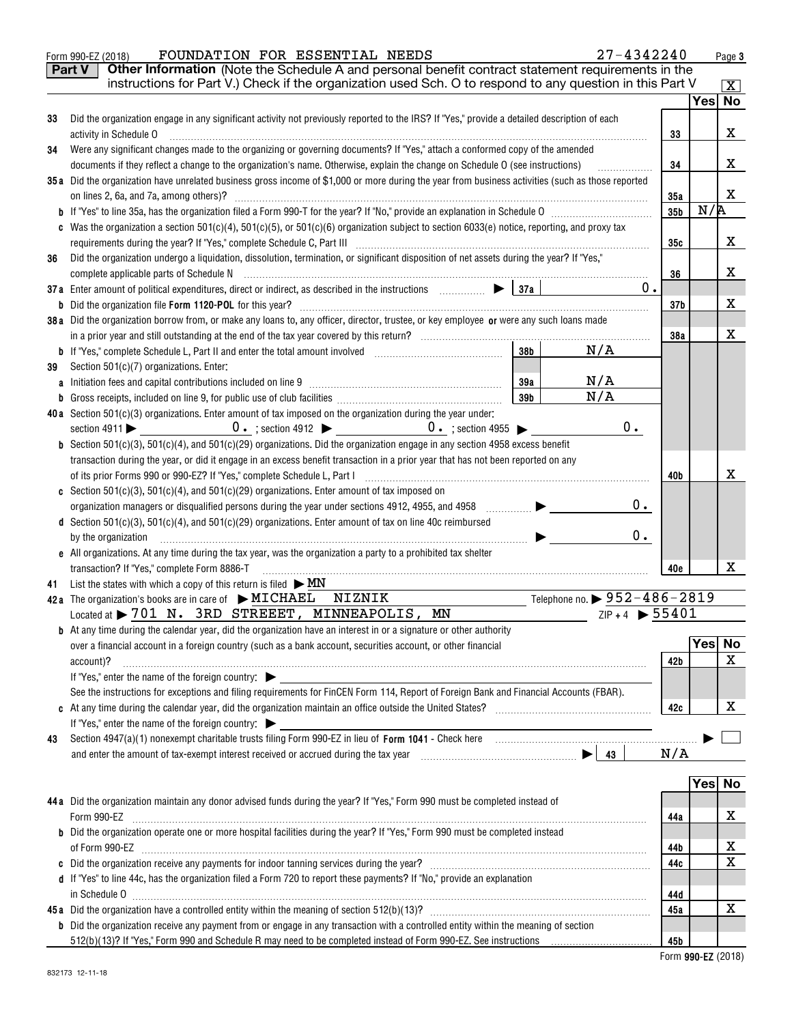|    | 27-4342240<br>FOUNDATION FOR ESSENTIAL NEEDS<br>Form 990-EZ (2018)                                                                                                                                                                                                                                                                                                                                                                                             |                 |     | Page 3       |
|----|----------------------------------------------------------------------------------------------------------------------------------------------------------------------------------------------------------------------------------------------------------------------------------------------------------------------------------------------------------------------------------------------------------------------------------------------------------------|-----------------|-----|--------------|
|    | Other Information (Note the Schedule A and personal benefit contract statement requirements in the<br><b>Part V</b>                                                                                                                                                                                                                                                                                                                                            |                 |     |              |
|    | instructions for Part V.) Check if the organization used Sch. O to respond to any question in this Part V                                                                                                                                                                                                                                                                                                                                                      |                 |     | $\mathbf{x}$ |
|    |                                                                                                                                                                                                                                                                                                                                                                                                                                                                |                 |     | Yes  No      |
| 33 | Did the organization engage in any significant activity not previously reported to the IRS? If "Yes," provide a detailed description of each                                                                                                                                                                                                                                                                                                                   |                 |     |              |
|    | activity in Schedule O                                                                                                                                                                                                                                                                                                                                                                                                                                         | 33              |     | X            |
| 34 | Were any significant changes made to the organizing or governing documents? If "Yes," attach a conformed copy of the amended                                                                                                                                                                                                                                                                                                                                   |                 |     |              |
|    | documents if they reflect a change to the organization's name. Otherwise, explain the change on Schedule O (see instructions)                                                                                                                                                                                                                                                                                                                                  | 34              |     | x            |
|    | 35a Did the organization have unrelated business gross income of \$1,000 or more during the year from business activities (such as those reported                                                                                                                                                                                                                                                                                                              |                 |     |              |
|    |                                                                                                                                                                                                                                                                                                                                                                                                                                                                | 35a             |     | X            |
|    |                                                                                                                                                                                                                                                                                                                                                                                                                                                                | 35 <sub>b</sub> | N/R |              |
|    | Was the organization a section $501(c)(4)$ , $501(c)(5)$ , or $501(c)(6)$ organization subject to section 6033(e) notice, reporting, and proxy tax                                                                                                                                                                                                                                                                                                             |                 |     |              |
|    |                                                                                                                                                                                                                                                                                                                                                                                                                                                                | 35c             |     | x            |
| 36 | Did the organization undergo a liquidation, dissolution, termination, or significant disposition of net assets during the year? If "Yes,"                                                                                                                                                                                                                                                                                                                      |                 |     |              |
|    |                                                                                                                                                                                                                                                                                                                                                                                                                                                                | 36              |     | x            |
|    | 37a Enter amount of political expenditures, direct or indirect, as described in the instructions $\Box$<br>0.                                                                                                                                                                                                                                                                                                                                                  |                 |     |              |
|    |                                                                                                                                                                                                                                                                                                                                                                                                                                                                | 37 <sub>b</sub> |     | x            |
|    | 38a Did the organization borrow from, or make any loans to, any officer, director, trustee, or key employee or were any such loans made                                                                                                                                                                                                                                                                                                                        |                 |     |              |
|    |                                                                                                                                                                                                                                                                                                                                                                                                                                                                | 38a             |     | x            |
|    | N/A<br>38 <sub>b</sub>                                                                                                                                                                                                                                                                                                                                                                                                                                         |                 |     |              |
| 39 | Section 501(c)(7) organizations. Enter:                                                                                                                                                                                                                                                                                                                                                                                                                        |                 |     |              |
|    | N/A<br>39a                                                                                                                                                                                                                                                                                                                                                                                                                                                     |                 |     |              |
|    | N/A<br>39 <sub>b</sub>                                                                                                                                                                                                                                                                                                                                                                                                                                         |                 |     |              |
|    | 40a Section 501(c)(3) organizations. Enter amount of tax imposed on the organization during the year under:                                                                                                                                                                                                                                                                                                                                                    |                 |     |              |
|    | 0.                                                                                                                                                                                                                                                                                                                                                                                                                                                             |                 |     |              |
|    | <b>b</b> Section 501(c)(3), 501(c)(4), and 501(c)(29) organizations. Did the organization engage in any section 4958 excess benefit                                                                                                                                                                                                                                                                                                                            |                 |     |              |
|    | transaction during the year, or did it engage in an excess benefit transaction in a prior year that has not been reported on any                                                                                                                                                                                                                                                                                                                               |                 |     |              |
|    |                                                                                                                                                                                                                                                                                                                                                                                                                                                                | 40b             |     | х            |
|    | Section 501(c)(3), 501(c)(4), and 501(c)(29) organizations. Enter amount of tax imposed on                                                                                                                                                                                                                                                                                                                                                                     |                 |     |              |
|    | 0.<br>$\begin{picture}(20,20) \put(0,0){\line(1,0){10}} \put(15,0){\line(1,0){10}} \put(15,0){\line(1,0){10}} \put(15,0){\line(1,0){10}} \put(15,0){\line(1,0){10}} \put(15,0){\line(1,0){10}} \put(15,0){\line(1,0){10}} \put(15,0){\line(1,0){10}} \put(15,0){\line(1,0){10}} \put(15,0){\line(1,0){10}} \put(15,0){\line(1,0){10}} \put(15,0){\line(1$<br>organization managers or disqualified persons during the year under sections 4912, 4955, and 4958 |                 |     |              |
|    | d Section 501(c)(3), 501(c)(4), and 501(c)(29) organizations. Enter amount of tax on line 40c reimbursed<br>$0$ .                                                                                                                                                                                                                                                                                                                                              |                 |     |              |
|    | by the organization<br>e All organizations. At any time during the tax year, was the organization a party to a prohibited tax shelter                                                                                                                                                                                                                                                                                                                          |                 |     |              |
|    | transaction? If "Yes," complete Form 8886-T                                                                                                                                                                                                                                                                                                                                                                                                                    | 40e             |     | x            |
| 41 | List the states with which a copy of this return is filed $\triangleright$ MN                                                                                                                                                                                                                                                                                                                                                                                  |                 |     |              |
|    | Telephone no. $\triangleright$ 952–486–2819<br>NIZNIK<br>42a The organization's books are in care of $\blacktriangleright$ MICHAEL                                                                                                                                                                                                                                                                                                                             |                 |     |              |
|    | $ZIP + 4$ $\triangleright$ 55401<br>Located at > 701 N. 3RD STREEET, MINNEAPOLIS, MN                                                                                                                                                                                                                                                                                                                                                                           |                 |     |              |
|    | <b>b</b> At any time during the calendar year, did the organization have an interest in or a signature or other authority                                                                                                                                                                                                                                                                                                                                      |                 |     |              |
|    | over a financial account in a foreign country (such as a bank account, securities account, or other financial                                                                                                                                                                                                                                                                                                                                                  |                 |     | Yes No       |
|    | account)?                                                                                                                                                                                                                                                                                                                                                                                                                                                      | 42b             |     | x            |
|    | If "Yes," enter the name of the foreign country:                                                                                                                                                                                                                                                                                                                                                                                                               |                 |     |              |
|    | See the instructions for exceptions and filing requirements for FinCEN Form 114, Report of Foreign Bank and Financial Accounts (FBAR).                                                                                                                                                                                                                                                                                                                         |                 |     |              |
|    |                                                                                                                                                                                                                                                                                                                                                                                                                                                                | 42c             |     | x            |
|    | If "Yes," enter the name of the foreign country: $\blacktriangleright$                                                                                                                                                                                                                                                                                                                                                                                         |                 |     |              |
| 43 |                                                                                                                                                                                                                                                                                                                                                                                                                                                                |                 |     |              |
|    |                                                                                                                                                                                                                                                                                                                                                                                                                                                                | N/A             |     |              |
|    |                                                                                                                                                                                                                                                                                                                                                                                                                                                                |                 |     |              |
|    |                                                                                                                                                                                                                                                                                                                                                                                                                                                                |                 |     | Yes No       |
|    | 44a Did the organization maintain any donor advised funds during the year? If "Yes," Form 990 must be completed instead of                                                                                                                                                                                                                                                                                                                                     |                 |     |              |
|    | Form 990-EZ                                                                                                                                                                                                                                                                                                                                                                                                                                                    | 44a             |     | x            |
|    | <b>b</b> Did the organization operate one or more hospital facilities during the year? If "Yes," Form 990 must be completed instead                                                                                                                                                                                                                                                                                                                            |                 |     |              |
|    |                                                                                                                                                                                                                                                                                                                                                                                                                                                                | 44b             |     | х            |
|    | Did the organization receive any payments for indoor tanning services during the year?<br>                                                                                                                                                                                                                                                                                                                                                                     | 44c             |     | х            |
|    | d If "Yes" to line 44c, has the organization filed a Form 720 to report these payments? If "No," provide an explanation                                                                                                                                                                                                                                                                                                                                        |                 |     |              |
|    |                                                                                                                                                                                                                                                                                                                                                                                                                                                                | 44d             |     |              |
|    |                                                                                                                                                                                                                                                                                                                                                                                                                                                                | 45a             |     | x            |
|    | <b>b</b> Did the organization receive any payment from or engage in any transaction with a controlled entity within the meaning of section                                                                                                                                                                                                                                                                                                                     |                 |     |              |
|    |                                                                                                                                                                                                                                                                                                                                                                                                                                                                | 45b             |     |              |

**Form 990-EZ** (2018)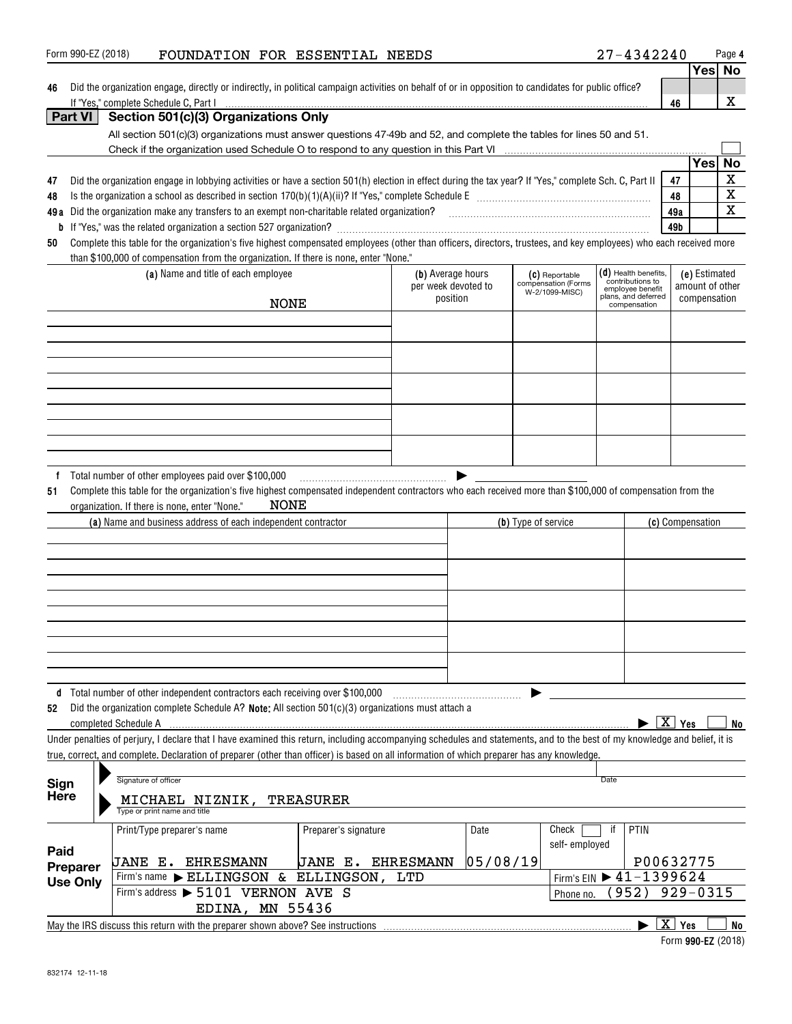|                 |                                                                                                                                                                                                                                  |                      |                     |          |                                       |                                      |                        |                 | Yes∣ No                 |  |
|-----------------|----------------------------------------------------------------------------------------------------------------------------------------------------------------------------------------------------------------------------------|----------------------|---------------------|----------|---------------------------------------|--------------------------------------|------------------------|-----------------|-------------------------|--|
| 46              | Did the organization engage, directly or indirectly, in political campaign activities on behalf of or in opposition to candidates for public office?                                                                             |                      |                     |          |                                       |                                      |                        |                 |                         |  |
|                 | If "Yes," complete Schedule C. Part I                                                                                                                                                                                            |                      |                     |          |                                       |                                      | 46                     |                 | x                       |  |
| Part VI         | Section 501(c)(3) Organizations Only                                                                                                                                                                                             |                      |                     |          |                                       |                                      |                        |                 |                         |  |
|                 | All section 501(c)(3) organizations must answer questions 47-49b and 52, and complete the tables for lines 50 and 51.                                                                                                            |                      |                     |          |                                       |                                      |                        |                 |                         |  |
|                 |                                                                                                                                                                                                                                  |                      |                     |          |                                       |                                      |                        | <b>Yes</b>      | No                      |  |
|                 |                                                                                                                                                                                                                                  |                      |                     |          |                                       |                                      | 47                     |                 | $\overline{\textbf{X}}$ |  |
| 47<br>48        | Did the organization engage in lobbying activities or have a section 501(h) election in effect during the tax year? If "Yes," complete Sch. C, Part II                                                                           |                      |                     |          |                                       |                                      | 48                     |                 | $\overline{\mathbf{x}}$ |  |
| 49 a            | Did the organization make any transfers to an exempt non-charitable related organization?<br>University management of management contains and the original containment contains and the control of the state of the state of the |                      |                     |          |                                       |                                      | 49a                    |                 | $\overline{\mathbf{x}}$ |  |
| b               |                                                                                                                                                                                                                                  |                      |                     |          |                                       |                                      | 49b                    |                 |                         |  |
| 50              | Complete this table for the organization's five highest compensated employees (other than officers, directors, trustees, and key employees) who each received more                                                               |                      |                     |          |                                       |                                      |                        |                 |                         |  |
|                 | than \$100,000 of compensation from the organization. If there is none, enter "None."                                                                                                                                            |                      |                     |          |                                       |                                      |                        |                 |                         |  |
|                 | (a) Name and title of each employee                                                                                                                                                                                              |                      | (b) Average hours   |          | (C) Reportable                        | $(d)$ Health benefits,               |                        | (e) Estimated   |                         |  |
|                 |                                                                                                                                                                                                                                  |                      | per week devoted to |          | compensation (Forms<br>W-2/1099-MISC) | contributions to<br>employee benefit |                        | amount of other |                         |  |
|                 | <b>NONE</b>                                                                                                                                                                                                                      |                      | position            |          |                                       | plans, and deferred<br>compensation  |                        | compensation    |                         |  |
|                 |                                                                                                                                                                                                                                  |                      |                     |          |                                       |                                      |                        |                 |                         |  |
|                 |                                                                                                                                                                                                                                  |                      |                     |          |                                       |                                      |                        |                 |                         |  |
|                 |                                                                                                                                                                                                                                  |                      |                     |          |                                       |                                      |                        |                 |                         |  |
|                 |                                                                                                                                                                                                                                  |                      |                     |          |                                       |                                      |                        |                 |                         |  |
|                 |                                                                                                                                                                                                                                  |                      |                     |          |                                       |                                      |                        |                 |                         |  |
|                 |                                                                                                                                                                                                                                  |                      |                     |          |                                       |                                      |                        |                 |                         |  |
|                 |                                                                                                                                                                                                                                  |                      |                     |          |                                       |                                      |                        |                 |                         |  |
|                 |                                                                                                                                                                                                                                  |                      |                     |          |                                       |                                      |                        |                 |                         |  |
|                 |                                                                                                                                                                                                                                  |                      |                     |          |                                       |                                      |                        |                 |                         |  |
|                 |                                                                                                                                                                                                                                  |                      |                     |          |                                       |                                      |                        |                 |                         |  |
| 51              | Complete this table for the organization's five highest compensated independent contractors who each received more than \$100,000 of compensation from the<br>NONE<br>organization. If there is none, enter "None."              |                      |                     |          |                                       |                                      |                        |                 |                         |  |
|                 | (a) Name and business address of each independent contractor                                                                                                                                                                     |                      |                     |          | (b) Type of service                   |                                      | (c) Compensation       |                 |                         |  |
|                 |                                                                                                                                                                                                                                  |                      |                     |          |                                       |                                      |                        |                 |                         |  |
|                 |                                                                                                                                                                                                                                  |                      |                     |          |                                       |                                      |                        |                 |                         |  |
|                 |                                                                                                                                                                                                                                  |                      |                     |          |                                       |                                      |                        |                 |                         |  |
|                 |                                                                                                                                                                                                                                  |                      |                     |          |                                       |                                      |                        |                 |                         |  |
|                 |                                                                                                                                                                                                                                  |                      |                     |          |                                       |                                      |                        |                 |                         |  |
|                 |                                                                                                                                                                                                                                  |                      |                     |          |                                       |                                      |                        |                 |                         |  |
|                 |                                                                                                                                                                                                                                  |                      |                     |          |                                       |                                      |                        |                 |                         |  |
|                 |                                                                                                                                                                                                                                  |                      |                     |          |                                       |                                      |                        |                 |                         |  |
|                 |                                                                                                                                                                                                                                  |                      |                     |          |                                       |                                      |                        |                 |                         |  |
|                 | d Total number of other independent contractors each receiving over \$100,000                                                                                                                                                    |                      |                     |          |                                       |                                      |                        |                 |                         |  |
| 52              | Did the organization complete Schedule A? Note: All section 501(c)(3) organizations must attach a                                                                                                                                |                      |                     |          |                                       |                                      |                        |                 |                         |  |
|                 | completed Schedule A                                                                                                                                                                                                             |                      |                     |          |                                       |                                      | $\boxed{\text{X}}$ Yes |                 | No                      |  |
|                 | Under penalties of perjury, I declare that I have examined this return, including accompanying schedules and statements, and to the best of my knowledge and belief, it is                                                       |                      |                     |          |                                       |                                      |                        |                 |                         |  |
|                 | true, correct, and complete. Declaration of preparer (other than officer) is based on all information of which preparer has any knowledge.                                                                                       |                      |                     |          |                                       |                                      |                        |                 |                         |  |
|                 |                                                                                                                                                                                                                                  |                      |                     |          |                                       |                                      |                        |                 |                         |  |
| Sign            | Signature of officer                                                                                                                                                                                                             |                      |                     |          |                                       | Date                                 |                        |                 |                         |  |
| Here            | MICHAEL NIZNIK,<br>Type or print name and title                                                                                                                                                                                  | <b>TREASURER</b>     |                     |          |                                       |                                      |                        |                 |                         |  |
|                 | Print/Type preparer's name                                                                                                                                                                                                       | Preparer's signature |                     | Date     | Check                                 | if<br>PTIN                           |                        |                 |                         |  |
| Paid            |                                                                                                                                                                                                                                  |                      |                     |          | self-employed                         |                                      |                        |                 |                         |  |
| Preparer        | <b>JANE E. EHRESMANN</b>                                                                                                                                                                                                         | JANE E.              | <b>EHRESMANN</b>    | 05/08/19 |                                       | P00632775                            |                        |                 |                         |  |
| <b>Use Only</b> | Firm's name ELLINGSON<br>&.                                                                                                                                                                                                      | ELLINGSON,           | LTD                 |          |                                       | Firm's EIN ▶ 41-1399624              |                        |                 |                         |  |
|                 | Firm's address > 5101 VERNON AVE S                                                                                                                                                                                               |                      |                     |          | Phone no.                             | 952)                                 | $929 - 0315$           |                 |                         |  |
|                 | EDINA, MN 55436                                                                                                                                                                                                                  |                      |                     |          |                                       |                                      |                        |                 |                         |  |
|                 | May the IRS discuss this return with the preparer shown above? See instructions                                                                                                                                                  |                      |                     |          |                                       |                                      | $\overline{X}$ Yes     |                 | No                      |  |

Form 990-EZ (2018) Page FOUNDATION FOR ESSENTIAL NEEDS 27-4342240

**4**

**<sup>990-</sup>EZ**  Form (2018)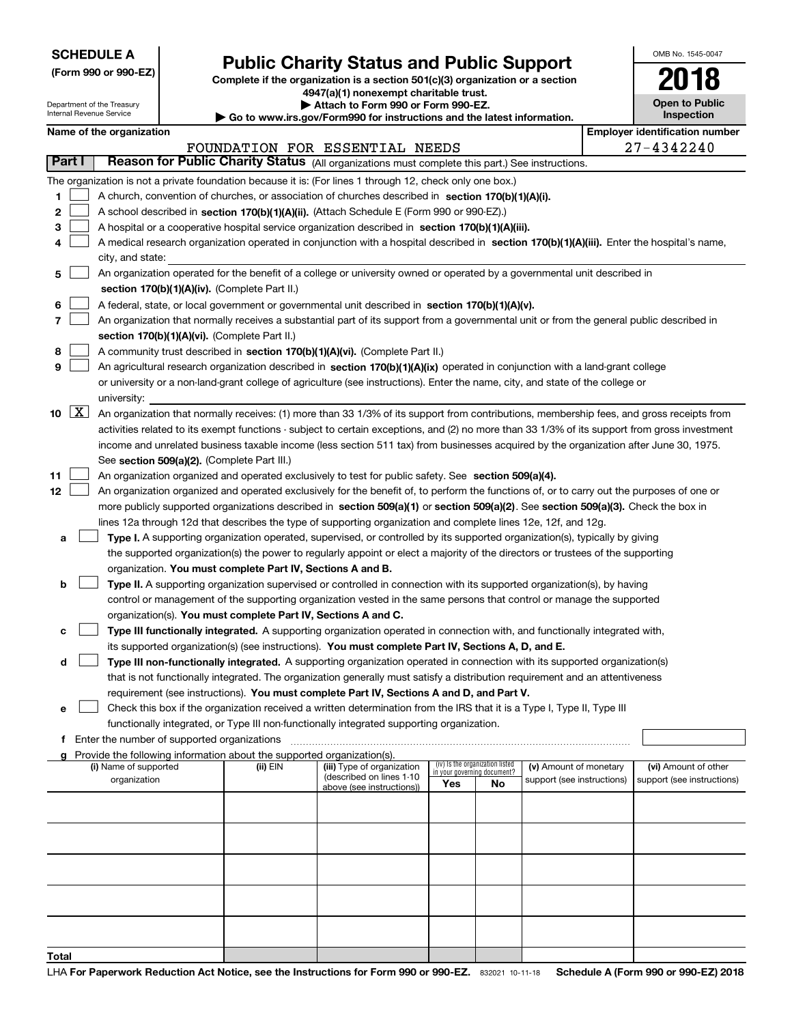| <b>SCHEDULE A</b> |
|-------------------|
|-------------------|

Department of the Treasury

**(Form 990 or 990-EZ)**

# **Public Charity Status and Public Support**

**Complete if the organization is a section 501(c)(3) organization or a section 4947(a)(1) nonexempt charitable trust.**

| Attach to Form 990 or Form 990-EZ. |
|------------------------------------|
|                                    |

OMB No. 1545-0047

**Open to Public**

**2018**

|       |                     | Internal Revenue Service                                                                                                                  |                                               |                                                                        | $\blacktriangleright$ Go to www.irs.gov/Form990 for instructions and the latest information.                                                  |                             |                                 |                            |  |  | <b>Inspection</b>                     |  |
|-------|---------------------|-------------------------------------------------------------------------------------------------------------------------------------------|-----------------------------------------------|------------------------------------------------------------------------|-----------------------------------------------------------------------------------------------------------------------------------------------|-----------------------------|---------------------------------|----------------------------|--|--|---------------------------------------|--|
|       |                     | Name of the organization                                                                                                                  |                                               |                                                                        |                                                                                                                                               |                             |                                 |                            |  |  | <b>Employer identification number</b> |  |
|       |                     |                                                                                                                                           |                                               |                                                                        | FOUNDATION FOR ESSENTIAL NEEDS                                                                                                                |                             |                                 |                            |  |  | 27-4342240                            |  |
|       | Part I              |                                                                                                                                           |                                               |                                                                        | Reason for Public Charity Status (All organizations must complete this part.) See instructions.                                               |                             |                                 |                            |  |  |                                       |  |
|       |                     |                                                                                                                                           |                                               |                                                                        | The organization is not a private foundation because it is: (For lines 1 through 12, check only one box.)                                     |                             |                                 |                            |  |  |                                       |  |
| 1.    |                     |                                                                                                                                           |                                               |                                                                        | A church, convention of churches, or association of churches described in section 170(b)(1)(A)(i).                                            |                             |                                 |                            |  |  |                                       |  |
| 2     |                     |                                                                                                                                           |                                               |                                                                        | A school described in section 170(b)(1)(A)(ii). (Attach Schedule E (Form 990 or 990-EZ).)                                                     |                             |                                 |                            |  |  |                                       |  |
| 3     |                     |                                                                                                                                           |                                               |                                                                        | A hospital or a cooperative hospital service organization described in section 170(b)(1)(A)(iii).                                             |                             |                                 |                            |  |  |                                       |  |
| 4     |                     |                                                                                                                                           |                                               |                                                                        | A medical research organization operated in conjunction with a hospital described in section 170(b)(1)(A)(iii). Enter the hospital's name,    |                             |                                 |                            |  |  |                                       |  |
|       |                     | city, and state:                                                                                                                          |                                               |                                                                        |                                                                                                                                               |                             |                                 |                            |  |  |                                       |  |
| 5.    |                     |                                                                                                                                           |                                               |                                                                        | An organization operated for the benefit of a college or university owned or operated by a governmental unit described in                     |                             |                                 |                            |  |  |                                       |  |
|       |                     |                                                                                                                                           |                                               | section 170(b)(1)(A)(iv). (Complete Part II.)                          |                                                                                                                                               |                             |                                 |                            |  |  |                                       |  |
| 6     |                     |                                                                                                                                           |                                               |                                                                        | A federal, state, or local government or governmental unit described in section 170(b)(1)(A)(v).                                              |                             |                                 |                            |  |  |                                       |  |
| 7     |                     | An organization that normally receives a substantial part of its support from a governmental unit or from the general public described in |                                               |                                                                        |                                                                                                                                               |                             |                                 |                            |  |  |                                       |  |
|       |                     |                                                                                                                                           |                                               | section 170(b)(1)(A)(vi). (Complete Part II.)                          |                                                                                                                                               |                             |                                 |                            |  |  |                                       |  |
| 8     |                     |                                                                                                                                           |                                               |                                                                        | A community trust described in section 170(b)(1)(A)(vi). (Complete Part II.)                                                                  |                             |                                 |                            |  |  |                                       |  |
| 9     |                     |                                                                                                                                           |                                               |                                                                        | An agricultural research organization described in section 170(b)(1)(A)(ix) operated in conjunction with a land-grant college                 |                             |                                 |                            |  |  |                                       |  |
|       |                     |                                                                                                                                           |                                               |                                                                        | or university or a non-land-grant college of agriculture (see instructions). Enter the name, city, and state of the college or                |                             |                                 |                            |  |  |                                       |  |
|       |                     | university:                                                                                                                               |                                               |                                                                        |                                                                                                                                               |                             |                                 |                            |  |  |                                       |  |
| 10    | $\lfloor x \rfloor$ |                                                                                                                                           |                                               |                                                                        | An organization that normally receives: (1) more than 33 1/3% of its support from contributions, membership fees, and gross receipts from     |                             |                                 |                            |  |  |                                       |  |
|       |                     |                                                                                                                                           |                                               |                                                                        |                                                                                                                                               |                             |                                 |                            |  |  |                                       |  |
|       |                     |                                                                                                                                           |                                               |                                                                        | activities related to its exempt functions - subject to certain exceptions, and (2) no more than 33 1/3% of its support from gross investment |                             |                                 |                            |  |  |                                       |  |
|       |                     |                                                                                                                                           |                                               |                                                                        | income and unrelated business taxable income (less section 511 tax) from businesses acquired by the organization after June 30, 1975.         |                             |                                 |                            |  |  |                                       |  |
|       |                     |                                                                                                                                           |                                               | See section 509(a)(2). (Complete Part III.)                            |                                                                                                                                               |                             |                                 |                            |  |  |                                       |  |
| 11    |                     |                                                                                                                                           |                                               |                                                                        | An organization organized and operated exclusively to test for public safety. See section 509(a)(4).                                          |                             |                                 |                            |  |  |                                       |  |
| 12    |                     |                                                                                                                                           |                                               |                                                                        | An organization organized and operated exclusively for the benefit of, to perform the functions of, or to carry out the purposes of one or    |                             |                                 |                            |  |  |                                       |  |
|       |                     |                                                                                                                                           |                                               |                                                                        | more publicly supported organizations described in section 509(a)(1) or section 509(a)(2). See section 509(a)(3). Check the box in            |                             |                                 |                            |  |  |                                       |  |
|       |                     |                                                                                                                                           |                                               |                                                                        | lines 12a through 12d that describes the type of supporting organization and complete lines 12e, 12f, and 12g.                                |                             |                                 |                            |  |  |                                       |  |
| а     |                     |                                                                                                                                           |                                               |                                                                        | Type I. A supporting organization operated, supervised, or controlled by its supported organization(s), typically by giving                   |                             |                                 |                            |  |  |                                       |  |
|       |                     |                                                                                                                                           |                                               |                                                                        | the supported organization(s) the power to regularly appoint or elect a majority of the directors or trustees of the supporting               |                             |                                 |                            |  |  |                                       |  |
|       |                     |                                                                                                                                           |                                               | organization. You must complete Part IV, Sections A and B.             |                                                                                                                                               |                             |                                 |                            |  |  |                                       |  |
| b     |                     |                                                                                                                                           |                                               |                                                                        | Type II. A supporting organization supervised or controlled in connection with its supported organization(s), by having                       |                             |                                 |                            |  |  |                                       |  |
|       |                     |                                                                                                                                           |                                               |                                                                        | control or management of the supporting organization vested in the same persons that control or manage the supported                          |                             |                                 |                            |  |  |                                       |  |
|       |                     |                                                                                                                                           |                                               | organization(s). You must complete Part IV, Sections A and C.          |                                                                                                                                               |                             |                                 |                            |  |  |                                       |  |
| с     |                     |                                                                                                                                           |                                               |                                                                        | Type III functionally integrated. A supporting organization operated in connection with, and functionally integrated with,                    |                             |                                 |                            |  |  |                                       |  |
|       |                     |                                                                                                                                           |                                               |                                                                        | its supported organization(s) (see instructions). You must complete Part IV, Sections A, D, and E.                                            |                             |                                 |                            |  |  |                                       |  |
| d     |                     |                                                                                                                                           |                                               |                                                                        | Type III non-functionally integrated. A supporting organization operated in connection with its supported organization(s)                     |                             |                                 |                            |  |  |                                       |  |
|       |                     |                                                                                                                                           |                                               |                                                                        | that is not functionally integrated. The organization generally must satisfy a distribution requirement and an attentiveness                  |                             |                                 |                            |  |  |                                       |  |
|       |                     |                                                                                                                                           |                                               |                                                                        | requirement (see instructions). You must complete Part IV, Sections A and D, and Part V.                                                      |                             |                                 |                            |  |  |                                       |  |
| е     |                     |                                                                                                                                           |                                               |                                                                        | Check this box if the organization received a written determination from the IRS that it is a Type I, Type II, Type III                       |                             |                                 |                            |  |  |                                       |  |
|       |                     |                                                                                                                                           |                                               |                                                                        | functionally integrated, or Type III non-functionally integrated supporting organization.                                                     |                             |                                 |                            |  |  |                                       |  |
|       |                     |                                                                                                                                           | f Enter the number of supported organizations |                                                                        |                                                                                                                                               |                             |                                 |                            |  |  |                                       |  |
|       |                     |                                                                                                                                           |                                               | Provide the following information about the supported organization(s). |                                                                                                                                               |                             |                                 |                            |  |  |                                       |  |
|       |                     | (i) Name of supported                                                                                                                     |                                               | (ii) EIN                                                               | (iii) Type of organization                                                                                                                    | in your governing document? | (iv) Is the organization listed | (v) Amount of monetary     |  |  | (vi) Amount of other                  |  |
|       |                     | organization                                                                                                                              |                                               |                                                                        | (described on lines 1-10<br>above (see instructions))                                                                                         | Yes                         | No                              | support (see instructions) |  |  | support (see instructions)            |  |
|       |                     |                                                                                                                                           |                                               |                                                                        |                                                                                                                                               |                             |                                 |                            |  |  |                                       |  |
|       |                     |                                                                                                                                           |                                               |                                                                        |                                                                                                                                               |                             |                                 |                            |  |  |                                       |  |
|       |                     |                                                                                                                                           |                                               |                                                                        |                                                                                                                                               |                             |                                 |                            |  |  |                                       |  |
|       |                     |                                                                                                                                           |                                               |                                                                        |                                                                                                                                               |                             |                                 |                            |  |  |                                       |  |
|       |                     |                                                                                                                                           |                                               |                                                                        |                                                                                                                                               |                             |                                 |                            |  |  |                                       |  |
|       |                     |                                                                                                                                           |                                               |                                                                        |                                                                                                                                               |                             |                                 |                            |  |  |                                       |  |
|       |                     |                                                                                                                                           |                                               |                                                                        |                                                                                                                                               |                             |                                 |                            |  |  |                                       |  |
|       |                     |                                                                                                                                           |                                               |                                                                        |                                                                                                                                               |                             |                                 |                            |  |  |                                       |  |
|       |                     |                                                                                                                                           |                                               |                                                                        |                                                                                                                                               |                             |                                 |                            |  |  |                                       |  |
|       |                     |                                                                                                                                           |                                               |                                                                        |                                                                                                                                               |                             |                                 |                            |  |  |                                       |  |
|       |                     |                                                                                                                                           |                                               |                                                                        |                                                                                                                                               |                             |                                 |                            |  |  |                                       |  |
| Total |                     |                                                                                                                                           |                                               |                                                                        |                                                                                                                                               |                             |                                 |                            |  |  |                                       |  |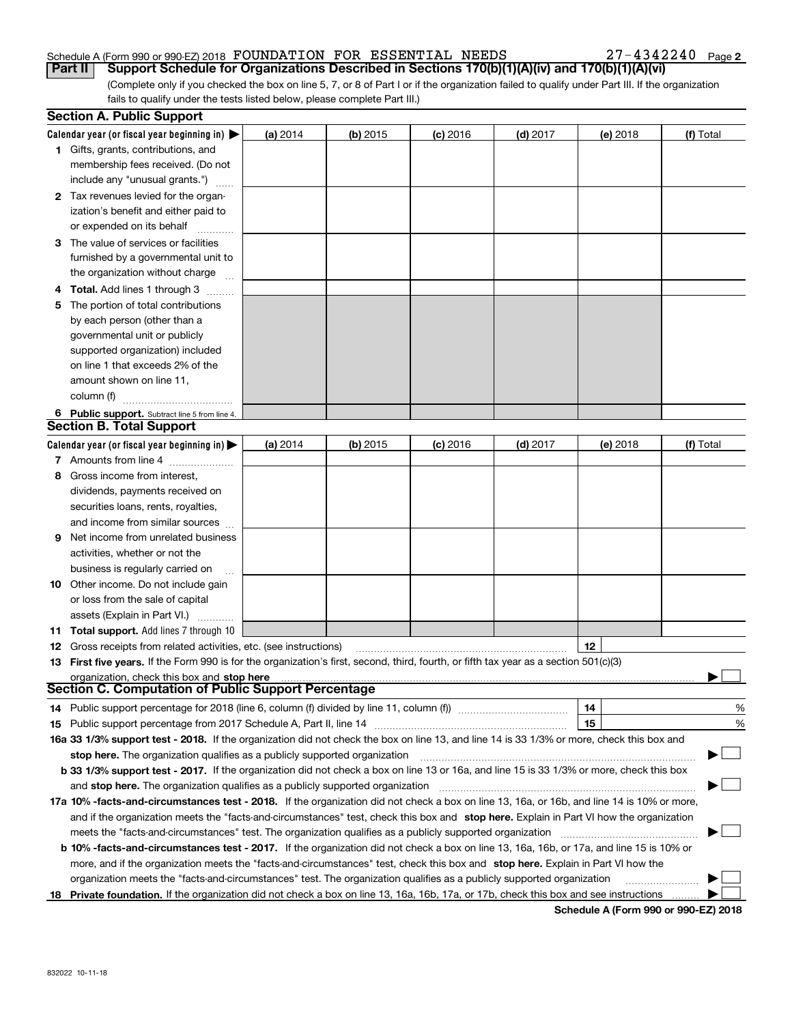## Schedule A (Form 990 or 990-EZ) 2018 Page FOUNDATION FOR ESSENTIAL NEEDS 27-4342240

**2**

(Complete only if you checked the box on line 5, 7, or 8 of Part I or if the organization failed to qualify under Part III. If the organization fails to qualify under the tests listed below, please complete Part III.) **Part II Support Schedule for Organizations Described in Sections 170(b)(1)(A)(iv) and 170(b)(1)(A)(vi)** 

|    | <b>Section A. Public Support</b>                                                                                                               |          |            |            |            |          |           |
|----|------------------------------------------------------------------------------------------------------------------------------------------------|----------|------------|------------|------------|----------|-----------|
|    | Calendar year (or fiscal year beginning in) $\blacktriangleright$                                                                              | (a) 2014 | $(b)$ 2015 | $(c)$ 2016 | (d) 2017   | (e) 2018 | (f) Total |
|    | 1 Gifts, grants, contributions, and                                                                                                            |          |            |            |            |          |           |
|    | membership fees received. (Do not                                                                                                              |          |            |            |            |          |           |
|    | include any "unusual grants.")                                                                                                                 |          |            |            |            |          |           |
|    | 2 Tax revenues levied for the organ-                                                                                                           |          |            |            |            |          |           |
|    | ization's benefit and either paid to                                                                                                           |          |            |            |            |          |           |
|    | or expended on its behalf                                                                                                                      |          |            |            |            |          |           |
|    | 3 The value of services or facilities                                                                                                          |          |            |            |            |          |           |
|    | furnished by a governmental unit to                                                                                                            |          |            |            |            |          |           |
|    | the organization without charge                                                                                                                |          |            |            |            |          |           |
|    | 4 Total. Add lines 1 through 3                                                                                                                 |          |            |            |            |          |           |
| 5. | The portion of total contributions                                                                                                             |          |            |            |            |          |           |
|    | by each person (other than a                                                                                                                   |          |            |            |            |          |           |
|    | governmental unit or publicly                                                                                                                  |          |            |            |            |          |           |
|    | supported organization) included                                                                                                               |          |            |            |            |          |           |
|    | on line 1 that exceeds 2% of the                                                                                                               |          |            |            |            |          |           |
|    | amount shown on line 11,                                                                                                                       |          |            |            |            |          |           |
|    | column (f)                                                                                                                                     |          |            |            |            |          |           |
|    | 6 Public support. Subtract line 5 from line 4.                                                                                                 |          |            |            |            |          |           |
|    | <b>Section B. Total Support</b>                                                                                                                |          |            |            |            |          |           |
|    | Calendar year (or fiscal year beginning in)                                                                                                    | (a) 2014 | $(b)$ 2015 | $(c)$ 2016 | $(d)$ 2017 | (e) 2018 | (f) Total |
|    | 7 Amounts from line 4                                                                                                                          |          |            |            |            |          |           |
|    | 8 Gross income from interest,                                                                                                                  |          |            |            |            |          |           |
|    | dividends, payments received on                                                                                                                |          |            |            |            |          |           |
|    | securities loans, rents, royalties,                                                                                                            |          |            |            |            |          |           |
|    | and income from similar sources                                                                                                                |          |            |            |            |          |           |
| 9. | Net income from unrelated business                                                                                                             |          |            |            |            |          |           |
|    | activities, whether or not the                                                                                                                 |          |            |            |            |          |           |
|    | business is regularly carried on                                                                                                               |          |            |            |            |          |           |
|    | <b>10</b> Other income. Do not include gain                                                                                                    |          |            |            |            |          |           |
|    | or loss from the sale of capital                                                                                                               |          |            |            |            |          |           |
|    | assets (Explain in Part VI.)                                                                                                                   |          |            |            |            |          |           |
|    | 11 Total support. Add lines 7 through 10                                                                                                       |          |            |            |            |          |           |
|    | <b>12</b> Gross receipts from related activities, etc. (see instructions)                                                                      |          |            |            |            | 12       |           |
|    | 13 First five years. If the Form 990 is for the organization's first, second, third, fourth, or fifth tax year as a section 501(c)(3)          |          |            |            |            |          |           |
|    | organization, check this box and stop here                                                                                                     |          |            |            |            |          |           |
|    | Section C. Computation of Public Support Percentage                                                                                            |          |            |            |            |          |           |
|    | 14 Public support percentage for 2018 (line 6, column (f) divided by line 11, column (f) <i>manumumumumum</i>                                  |          |            |            |            | 14       | %         |
|    |                                                                                                                                                |          |            |            |            | 15       | %         |
|    | 16a 33 1/3% support test - 2018. If the organization did not check the box on line 13, and line 14 is 33 1/3% or more, check this box and      |          |            |            |            |          |           |
|    | stop here. The organization qualifies as a publicly supported organization                                                                     |          |            |            |            |          | ▔▁▏       |
|    | b 33 1/3% support test - 2017. If the organization did not check a box on line 13 or 16a, and line 15 is 33 1/3% or more, check this box       |          |            |            |            |          |           |
|    | and stop here. The organization qualifies as a publicly supported organization                                                                 |          |            |            |            |          |           |
|    | 17a 10% -facts-and-circumstances test - 2018. If the organization did not check a box on line 13, 16a, or 16b, and line 14 is 10% or more,     |          |            |            |            |          |           |
|    | and if the organization meets the "facts-and-circumstances" test, check this box and stop here. Explain in Part VI how the organization        |          |            |            |            |          |           |
|    | meets the "facts-and-circumstances" test. The organization qualifies as a publicly supported organization                                      |          |            |            |            |          |           |
|    | <b>b 10% -facts-and-circumstances test - 2017.</b> If the organization did not check a box on line 13, 16a, 16b, or 17a, and line 15 is 10% or |          |            |            |            |          |           |
|    | more, and if the organization meets the "facts-and-circumstances" test, check this box and stop here. Explain in Part VI how the               |          |            |            |            |          |           |
|    | organization meets the "facts-and-circumstances" test. The organization qualifies as a publicly supported organization                         |          |            |            |            |          |           |
| 18 | Private foundation. If the organization did not check a box on line 13, 16a, 16b, 17a, or 17b, check this box and see instructions             |          |            |            |            |          |           |

**Schedule A (Form 990 or 990-EZ) 2018**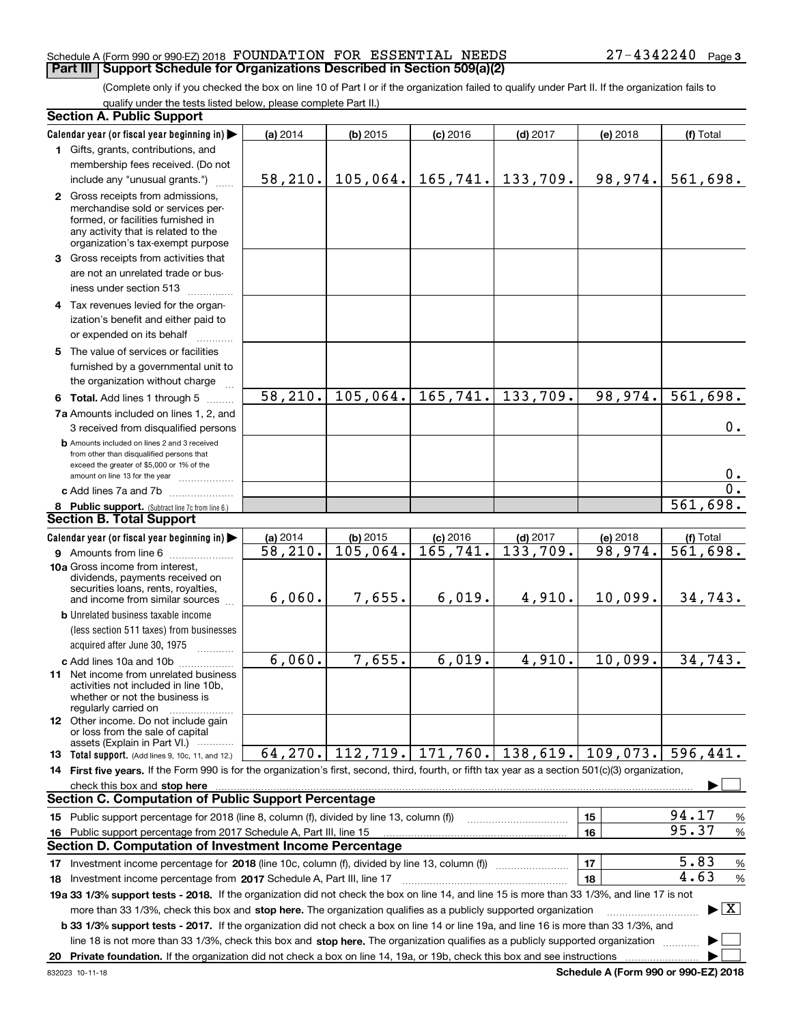### Schedule A (Form 990 or 990-EZ) 2018 Page FOUNDATION FOR ESSENTIAL NEEDS 27-4342240 **Part III** | Support Schedule for Organizations Described in Section 509(a)(2)

(Complete only if you checked the box on line 10 of Part I or if the organization failed to qualify under Part II. If the organization fails to qualify under the tests listed below, please complete Part II.)

|    | <b>Section A. Public Support</b>                                                                                                                                                                                                                                 |          |            |                       |                       |                                           |                                          |
|----|------------------------------------------------------------------------------------------------------------------------------------------------------------------------------------------------------------------------------------------------------------------|----------|------------|-----------------------|-----------------------|-------------------------------------------|------------------------------------------|
|    | Calendar year (or fiscal year beginning in)                                                                                                                                                                                                                      | (a) 2014 | (b) 2015   | $(c)$ 2016            | $(d)$ 2017            | (e) 2018                                  | (f) Total                                |
|    | 1 Gifts, grants, contributions, and                                                                                                                                                                                                                              |          |            |                       |                       |                                           |                                          |
|    | membership fees received. (Do not                                                                                                                                                                                                                                |          |            |                       |                       |                                           |                                          |
|    | include any "unusual grants.")                                                                                                                                                                                                                                   | 58, 210. |            | $105, 064.$ 165, 741. | 133,709.              | 98,974.                                   | 561,698.                                 |
|    | 2 Gross receipts from admissions,<br>merchandise sold or services per-<br>formed, or facilities furnished in<br>any activity that is related to the<br>organization's tax-exempt purpose                                                                         |          |            |                       |                       |                                           |                                          |
|    | 3 Gross receipts from activities that                                                                                                                                                                                                                            |          |            |                       |                       |                                           |                                          |
|    | are not an unrelated trade or bus-<br>iness under section 513                                                                                                                                                                                                    |          |            |                       |                       |                                           |                                          |
|    | 4 Tax revenues levied for the organ-                                                                                                                                                                                                                             |          |            |                       |                       |                                           |                                          |
|    | ization's benefit and either paid to<br>or expended on its behalf                                                                                                                                                                                                |          |            |                       |                       |                                           |                                          |
|    |                                                                                                                                                                                                                                                                  |          |            |                       |                       |                                           |                                          |
|    | 5 The value of services or facilities<br>furnished by a governmental unit to<br>the organization without charge                                                                                                                                                  |          |            |                       |                       |                                           |                                          |
|    | 6 Total. Add lines 1 through 5                                                                                                                                                                                                                                   | 58, 210. | 105,064.   | 165, 741.             | 133,709.              | 98,974.                                   | $\overline{561,698}$ .                   |
|    | 7a Amounts included on lines 1, 2, and<br>3 received from disqualified persons                                                                                                                                                                                   |          |            |                       |                       |                                           | 0.                                       |
|    | <b>b</b> Amounts included on lines 2 and 3 received<br>from other than disqualified persons that<br>exceed the greater of \$5,000 or 1% of the<br>amount on line 13 for the year                                                                                 |          |            |                       |                       |                                           | $0$ .                                    |
|    | c Add lines 7a and 7b                                                                                                                                                                                                                                            |          |            |                       |                       |                                           | 0.                                       |
|    | 8 Public support. (Subtract line 7c from line 6.)                                                                                                                                                                                                                |          |            |                       |                       |                                           | 561,698.                                 |
|    | <b>Section B. Total Support</b>                                                                                                                                                                                                                                  |          |            |                       |                       |                                           |                                          |
|    | Calendar year (or fiscal year beginning in)                                                                                                                                                                                                                      | (a) 2014 | $(b)$ 2015 | $(c)$ 2016            | $(d)$ 2017            | (e) 2018                                  | (f) Total                                |
|    | <b>9</b> Amounts from line 6                                                                                                                                                                                                                                     | 58,210.  | 105,064.   | 165,741.              | 133,709.              | 98,974.                                   | $\overline{561,698}$ .                   |
|    | 10a Gross income from interest,<br>dividends, payments received on<br>securities loans, rents, royalties,<br>and income from similar sources                                                                                                                     | 6,060.   | 7,655.     | 6,019.                | 4,910.                | 10,099.                                   | 34,743.                                  |
|    | <b>b</b> Unrelated business taxable income                                                                                                                                                                                                                       |          |            |                       |                       |                                           |                                          |
|    | (less section 511 taxes) from businesses                                                                                                                                                                                                                         |          |            |                       |                       |                                           |                                          |
|    | acquired after June 30, 1975                                                                                                                                                                                                                                     |          |            |                       |                       |                                           |                                          |
|    | c Add lines 10a and 10b                                                                                                                                                                                                                                          | 6,060.   | 7,655.     | 6,019.                | $\overline{4}$ , 910. | 10,099.                                   | 34,743.                                  |
|    | <b>11</b> Net income from unrelated business<br>activities not included in line 10b,<br>whether or not the business is<br>regularly carried on                                                                                                                   |          |            |                       |                       |                                           |                                          |
|    | <b>12</b> Other income. Do not include gain<br>or loss from the sale of capital<br>assets (Explain in Part VI.)                                                                                                                                                  |          |            |                       |                       |                                           |                                          |
|    | 13 Total support. (Add lines 9, 10c, 11, and 12.)                                                                                                                                                                                                                | 64, 270. |            |                       |                       | $112, 719.$ 171, 760. 138, 619. 109, 073. | 596,441.                                 |
|    | 14 First five years. If the Form 990 is for the organization's first, second, third, fourth, or fifth tax year as a section 501(c)(3) organization,                                                                                                              |          |            |                       |                       |                                           |                                          |
|    | check this box and stop here <b>construction and intervention and stop here</b> check this box and stop here <b>construction</b>                                                                                                                                 |          |            |                       |                       |                                           |                                          |
|    | <b>Section C. Computation of Public Support Percentage</b>                                                                                                                                                                                                       |          |            |                       |                       |                                           |                                          |
|    | 15 Public support percentage for 2018 (line 8, column (f), divided by line 13, column (f))                                                                                                                                                                       |          |            |                       |                       | 15                                        | 94.17<br>%                               |
|    | 16 Public support percentage from 2017 Schedule A, Part III, line 15                                                                                                                                                                                             |          |            |                       |                       | 16                                        | 95.37<br>%                               |
|    | <b>Section D. Computation of Investment Income Percentage</b>                                                                                                                                                                                                    |          |            |                       |                       |                                           |                                          |
|    | 17 Investment income percentage for 2018 (line 10c, column (f), divided by line 13, column (f))                                                                                                                                                                  |          |            |                       |                       | 17                                        | 5.83<br>%                                |
|    | <b>18</b> Investment income percentage from <b>2017</b> Schedule A, Part III, line 17                                                                                                                                                                            |          |            |                       |                       | 18                                        | 4.63<br>%                                |
|    | 19a 33 1/3% support tests - 2018. If the organization did not check the box on line 14, and line 15 is more than 33 1/3%, and line 17 is not                                                                                                                     |          |            |                       |                       |                                           |                                          |
|    | more than 33 1/3%, check this box and stop here. The organization qualifies as a publicly supported organization<br><b>b 33 1/3% support tests - 2017.</b> If the organization did not check a box on line 14 or line 19a, and line 16 is more than 33 1/3%, and |          |            |                       |                       |                                           | $\blacktriangleright$ $\boxed{\text{X}}$ |
|    | line 18 is not more than 33 1/3%, check this box and stop here. The organization qualifies as a publicly supported organization                                                                                                                                  |          |            |                       |                       |                                           |                                          |
| 20 |                                                                                                                                                                                                                                                                  |          |            |                       |                       |                                           |                                          |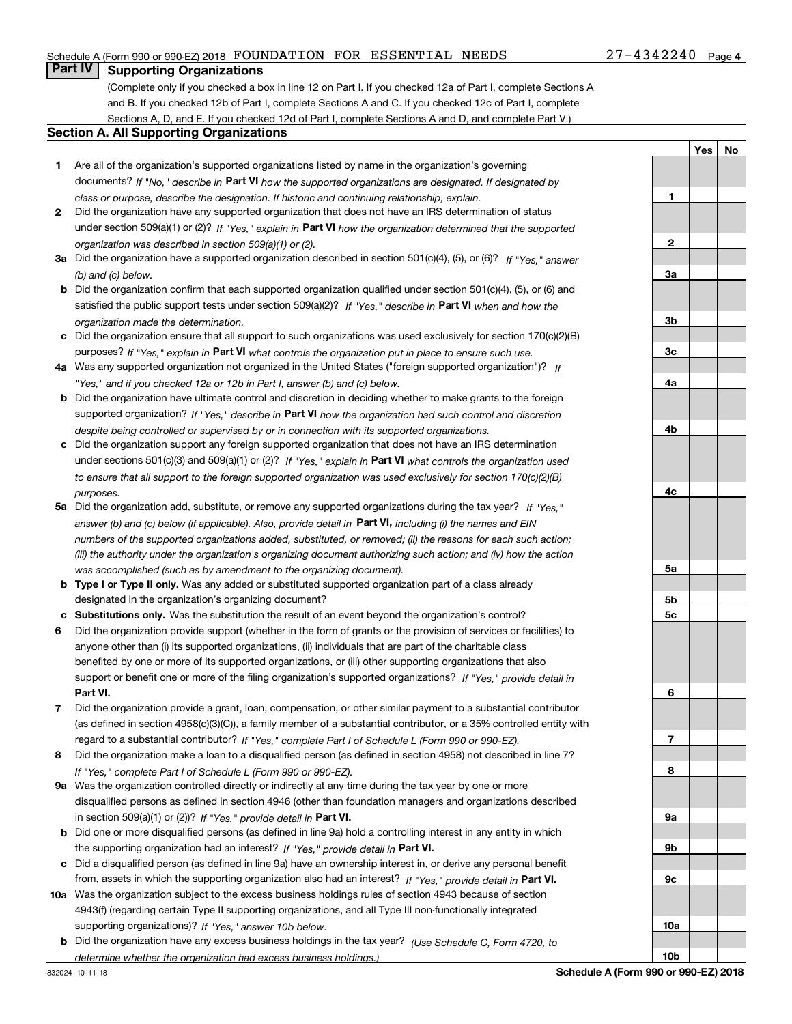## Schedule A (Form 990 or 990-EZ) 2018 Page FOUNDATION FOR ESSENTIAL NEEDS 27-4342240

## **Part IV Supporting Organizations**

(Complete only if you checked a box in line 12 on Part I. If you checked 12a of Part I, complete Sections A and B. If you checked 12b of Part I, complete Sections A and C. If you checked 12c of Part I, complete Sections A, D, and E. If you checked 12d of Part I, complete Sections A and D, and complete Part V.)

## **Section A. All Supporting Organizations**

- **1** Are all of the organization's supported organizations listed by name in the organization's governing documents? If "No," describe in **Part VI** how the supported organizations are designated. If designated by *class or purpose, describe the designation. If historic and continuing relationship, explain.*
- **2** Did the organization have any supported organization that does not have an IRS determination of status under section 509(a)(1) or (2)? If "Yes," explain in Part VI how the organization determined that the supported *organization was described in section 509(a)(1) or (2).*
- **3a** Did the organization have a supported organization described in section 501(c)(4), (5), or (6)? If "Yes," answer *(b) and (c) below.*
- **b** Did the organization confirm that each supported organization qualified under section 501(c)(4), (5), or (6) and satisfied the public support tests under section 509(a)(2)? If "Yes," describe in **Part VI** when and how the *organization made the determination.*
- **c**Did the organization ensure that all support to such organizations was used exclusively for section 170(c)(2)(B) purposes? If "Yes," explain in **Part VI** what controls the organization put in place to ensure such use.
- **4a***If* Was any supported organization not organized in the United States ("foreign supported organization")? *"Yes," and if you checked 12a or 12b in Part I, answer (b) and (c) below.*
- **b** Did the organization have ultimate control and discretion in deciding whether to make grants to the foreign supported organization? If "Yes," describe in **Part VI** how the organization had such control and discretion *despite being controlled or supervised by or in connection with its supported organizations.*
- **c** Did the organization support any foreign supported organization that does not have an IRS determination under sections 501(c)(3) and 509(a)(1) or (2)? If "Yes," explain in **Part VI** what controls the organization used *to ensure that all support to the foreign supported organization was used exclusively for section 170(c)(2)(B) purposes.*
- **5a***If "Yes,"* Did the organization add, substitute, or remove any supported organizations during the tax year? answer (b) and (c) below (if applicable). Also, provide detail in **Part VI,** including (i) the names and EIN *numbers of the supported organizations added, substituted, or removed; (ii) the reasons for each such action; (iii) the authority under the organization's organizing document authorizing such action; and (iv) how the action was accomplished (such as by amendment to the organizing document).*
- **b** Type I or Type II only. Was any added or substituted supported organization part of a class already designated in the organization's organizing document?
- **cSubstitutions only.**  Was the substitution the result of an event beyond the organization's control?
- **6** Did the organization provide support (whether in the form of grants or the provision of services or facilities) to **Part VI.** *If "Yes," provide detail in* support or benefit one or more of the filing organization's supported organizations? anyone other than (i) its supported organizations, (ii) individuals that are part of the charitable class benefited by one or more of its supported organizations, or (iii) other supporting organizations that also
- **7**Did the organization provide a grant, loan, compensation, or other similar payment to a substantial contributor *If "Yes," complete Part I of Schedule L (Form 990 or 990-EZ).* regard to a substantial contributor? (as defined in section 4958(c)(3)(C)), a family member of a substantial contributor, or a 35% controlled entity with
- **8** Did the organization make a loan to a disqualified person (as defined in section 4958) not described in line 7? *If "Yes," complete Part I of Schedule L (Form 990 or 990-EZ).*
- **9a** Was the organization controlled directly or indirectly at any time during the tax year by one or more in section 509(a)(1) or (2))? If "Yes," *provide detail in* <code>Part VI.</code> disqualified persons as defined in section 4946 (other than foundation managers and organizations described
- **b** Did one or more disqualified persons (as defined in line 9a) hold a controlling interest in any entity in which the supporting organization had an interest? If "Yes," provide detail in P**art VI**.
- **c**Did a disqualified person (as defined in line 9a) have an ownership interest in, or derive any personal benefit from, assets in which the supporting organization also had an interest? If "Yes," provide detail in P**art VI.**
- **10a** Was the organization subject to the excess business holdings rules of section 4943 because of section supporting organizations)? If "Yes," answer 10b below. 4943(f) (regarding certain Type II supporting organizations, and all Type III non-functionally integrated
- **b** Did the organization have any excess business holdings in the tax year? (Use Schedule C, Form 4720, to *determine whether the organization had excess business holdings.)*

**YesNo**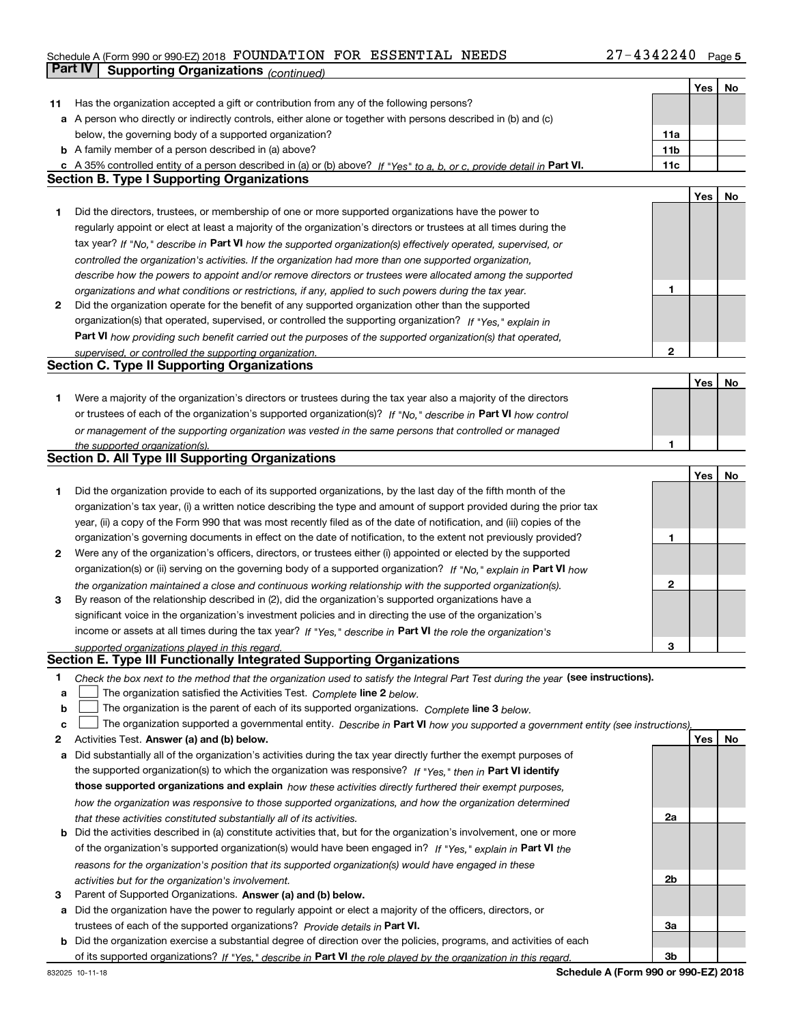## Schedule A (Form 990 or 990-EZ) 2018 Page FOUNDATION FOR ESSENTIAL NEEDS 27-4342240**Part IV Supporting Organizations** *(continued)*

|              |                                                                                                                                                                                                                                            |                 | Yes | No |
|--------------|--------------------------------------------------------------------------------------------------------------------------------------------------------------------------------------------------------------------------------------------|-----------------|-----|----|
| 11           | Has the organization accepted a gift or contribution from any of the following persons?                                                                                                                                                    |                 |     |    |
|              | a A person who directly or indirectly controls, either alone or together with persons described in (b) and (c)                                                                                                                             |                 |     |    |
|              | below, the governing body of a supported organization?                                                                                                                                                                                     | 11a             |     |    |
|              | <b>b</b> A family member of a person described in (a) above?                                                                                                                                                                               | 11 <sub>b</sub> |     |    |
|              | c A 35% controlled entity of a person described in (a) or (b) above? If "Yes" to a, b, or c, provide detail in Part VI.                                                                                                                    | 11c             |     |    |
|              | <b>Section B. Type I Supporting Organizations</b>                                                                                                                                                                                          |                 |     |    |
|              |                                                                                                                                                                                                                                            |                 | Yes | No |
| 1            | Did the directors, trustees, or membership of one or more supported organizations have the power to                                                                                                                                        |                 |     |    |
|              | regularly appoint or elect at least a majority of the organization's directors or trustees at all times during the                                                                                                                         |                 |     |    |
|              | tax year? If "No," describe in Part VI how the supported organization(s) effectively operated, supervised, or                                                                                                                              |                 |     |    |
|              | controlled the organization's activities. If the organization had more than one supported organization,                                                                                                                                    |                 |     |    |
|              | describe how the powers to appoint and/or remove directors or trustees were allocated among the supported                                                                                                                                  |                 |     |    |
|              | organizations and what conditions or restrictions, if any, applied to such powers during the tax year.                                                                                                                                     | 1               |     |    |
| 2            | Did the organization operate for the benefit of any supported organization other than the supported                                                                                                                                        |                 |     |    |
|              | organization(s) that operated, supervised, or controlled the supporting organization? If "Yes," explain in                                                                                                                                 |                 |     |    |
|              | Part VI how providing such benefit carried out the purposes of the supported organization(s) that operated,                                                                                                                                |                 |     |    |
|              | supervised, or controlled the supporting organization.                                                                                                                                                                                     | $\mathbf{2}$    |     |    |
|              | <b>Section C. Type II Supporting Organizations</b>                                                                                                                                                                                         |                 |     |    |
|              |                                                                                                                                                                                                                                            |                 | Yes | No |
| 1            | Were a majority of the organization's directors or trustees during the tax year also a majority of the directors                                                                                                                           |                 |     |    |
|              | or trustees of each of the organization's supported organization(s)? If "No," describe in Part VI how control                                                                                                                              |                 |     |    |
|              | or management of the supporting organization was vested in the same persons that controlled or managed                                                                                                                                     |                 |     |    |
|              | the supported organization(s).<br><b>Section D. All Type III Supporting Organizations</b>                                                                                                                                                  |                 |     |    |
|              |                                                                                                                                                                                                                                            |                 |     |    |
|              |                                                                                                                                                                                                                                            |                 | Yes | No |
| 1            | Did the organization provide to each of its supported organizations, by the last day of the fifth month of the                                                                                                                             |                 |     |    |
|              | organization's tax year, (i) a written notice describing the type and amount of support provided during the prior tax                                                                                                                      |                 |     |    |
|              | year, (ii) a copy of the Form 990 that was most recently filed as of the date of notification, and (iii) copies of the<br>organization's governing documents in effect on the date of notification, to the extent not previously provided? | 1               |     |    |
| $\mathbf{2}$ | Were any of the organization's officers, directors, or trustees either (i) appointed or elected by the supported                                                                                                                           |                 |     |    |
|              | organization(s) or (ii) serving on the governing body of a supported organization? If "No," explain in Part VI how                                                                                                                         |                 |     |    |
|              | the organization maintained a close and continuous working relationship with the supported organization(s).                                                                                                                                | $\mathbf{2}$    |     |    |
| 3            | By reason of the relationship described in (2), did the organization's supported organizations have a                                                                                                                                      |                 |     |    |
|              | significant voice in the organization's investment policies and in directing the use of the organization's                                                                                                                                 |                 |     |    |
|              | income or assets at all times during the tax year? If "Yes," describe in Part VI the role the organization's                                                                                                                               |                 |     |    |
|              | supported organizations played in this regard.                                                                                                                                                                                             | 3               |     |    |
|              | Section E. Type III Functionally Integrated Supporting Organizations                                                                                                                                                                       |                 |     |    |
| 1            | Check the box next to the method that the organization used to satisfy the Integral Part Test during the year (see instructions).                                                                                                          |                 |     |    |
| a            | The organization satisfied the Activities Test. Complete line 2 below.                                                                                                                                                                     |                 |     |    |
| b            | The organization is the parent of each of its supported organizations. Complete line 3 below.                                                                                                                                              |                 |     |    |
| c            | The organization supported a governmental entity. Describe in Part VI how you supported a government entity (see instructions).                                                                                                            |                 |     |    |
| 2            | Activities Test. Answer (a) and (b) below.                                                                                                                                                                                                 |                 | Yes | No |
| а            | Did substantially all of the organization's activities during the tax year directly further the exempt purposes of                                                                                                                         |                 |     |    |
|              | the supported organization(s) to which the organization was responsive? If "Yes," then in Part VI identify                                                                                                                                 |                 |     |    |
|              | those supported organizations and explain how these activities directly furthered their exempt purposes,                                                                                                                                   |                 |     |    |
|              | how the organization was responsive to those supported organizations, and how the organization determined                                                                                                                                  |                 |     |    |
|              | that these activities constituted substantially all of its activities.                                                                                                                                                                     | 2a              |     |    |
|              | <b>b</b> Did the activities described in (a) constitute activities that, but for the organization's involvement, one or more                                                                                                               |                 |     |    |
|              | of the organization's supported organization(s) would have been engaged in? If "Yes," explain in Part VI the                                                                                                                               |                 |     |    |
|              | reasons for the organization's position that its supported organization(s) would have engaged in these                                                                                                                                     |                 |     |    |
|              | activities but for the organization's involvement.                                                                                                                                                                                         | 2b              |     |    |
| з            | Parent of Supported Organizations. Answer (a) and (b) below.                                                                                                                                                                               |                 |     |    |
|              | a Did the organization have the power to regularly appoint or elect a majority of the officers, directors, or                                                                                                                              |                 |     |    |
|              | trustees of each of the supported organizations? Provide details in Part VI.                                                                                                                                                               | За              |     |    |
|              | <b>b</b> Did the organization exercise a substantial degree of direction over the policies, programs, and activities of each                                                                                                               |                 |     |    |
|              | of its supported organizations? If "Yes." describe in Part VI the role played by the organization in this regard.                                                                                                                          | 3b              |     |    |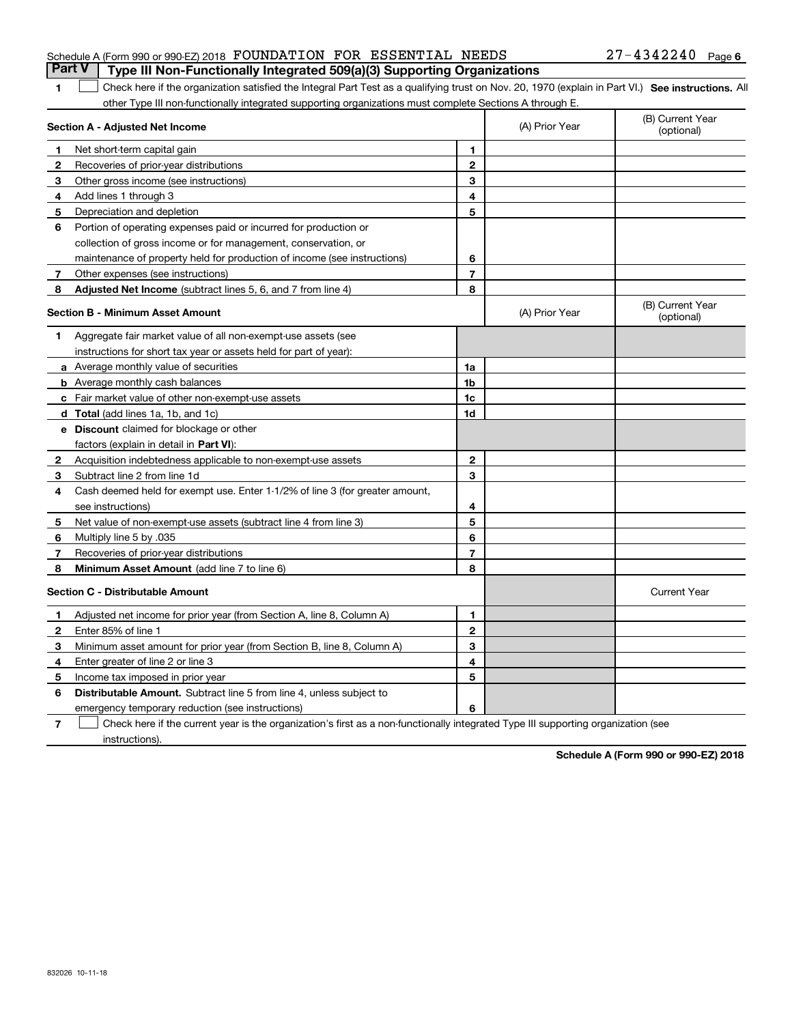## Schedule A (Form 990 or 990-EZ) 2018 Page FOUNDATION FOR ESSENTIAL NEEDS 27-4342240**Part V Type III Non-Functionally Integrated 509(a)(3) Supporting Organizations**

#### **SEP 10. See instructions.** All antegral Part Test as a qualifying trust on Nov. 20, 1970 (explain in Part VI.) See instructions. All other Type III non-functionally integrated supporting organizations must complete Sections A through E.  $\overline{\phantom{0}}$

|              | Section A - Adjusted Net Income                                              |                | (A) Prior Year | (B) Current Year<br>(optional) |
|--------------|------------------------------------------------------------------------------|----------------|----------------|--------------------------------|
| 1            | Net short-term capital gain                                                  | 1              |                |                                |
| 2            | Recoveries of prior-year distributions                                       | $\overline{2}$ |                |                                |
| 3            | Other gross income (see instructions)                                        | 3              |                |                                |
| 4            | Add lines 1 through 3                                                        | 4              |                |                                |
| 5            | Depreciation and depletion                                                   | 5              |                |                                |
| 6            | Portion of operating expenses paid or incurred for production or             |                |                |                                |
|              | collection of gross income or for management, conservation, or               |                |                |                                |
|              | maintenance of property held for production of income (see instructions)     | 6              |                |                                |
| 7            | Other expenses (see instructions)                                            | $\overline{7}$ |                |                                |
| 8            | Adjusted Net Income (subtract lines 5, 6, and 7 from line 4)                 | 8              |                |                                |
|              | <b>Section B - Minimum Asset Amount</b>                                      |                | (A) Prior Year | (B) Current Year<br>(optional) |
| 1.           | Aggregate fair market value of all non-exempt-use assets (see                |                |                |                                |
|              | instructions for short tax year or assets held for part of year):            |                |                |                                |
|              | <b>a</b> Average monthly value of securities                                 | 1a             |                |                                |
|              | <b>b</b> Average monthly cash balances                                       | 1 <sub>b</sub> |                |                                |
|              | c Fair market value of other non-exempt-use assets                           | 1c             |                |                                |
|              | d Total (add lines 1a, 1b, and 1c)                                           | 1d             |                |                                |
|              | <b>e</b> Discount claimed for blockage or other                              |                |                |                                |
|              | factors (explain in detail in Part VI):                                      |                |                |                                |
| $\mathbf{2}$ | Acquisition indebtedness applicable to non-exempt-use assets                 | 2              |                |                                |
| 3            | Subtract line 2 from line 1d                                                 | 3              |                |                                |
| 4            | Cash deemed held for exempt use. Enter 1-1/2% of line 3 (for greater amount, |                |                |                                |
|              | see instructions)                                                            | 4              |                |                                |
| 5            | Net value of non-exempt-use assets (subtract line 4 from line 3)             | 5              |                |                                |
| 6            | Multiply line 5 by .035                                                      | 6              |                |                                |
| 7            | Recoveries of prior-year distributions                                       | $\overline{7}$ |                |                                |
| 8            | Minimum Asset Amount (add line 7 to line 6)                                  | 8              |                |                                |
|              | Section C - Distributable Amount                                             |                |                | <b>Current Year</b>            |
| $\mathbf{1}$ | Adjusted net income for prior year (from Section A, line 8, Column A)        | 1              |                |                                |
| $\mathbf{2}$ | Enter 85% of line 1                                                          | $\overline{2}$ |                |                                |
| З            | Minimum asset amount for prior year (from Section B, line 8, Column A)       | 3              |                |                                |
| 4            | Enter greater of line 2 or line 3                                            | 4              |                |                                |
| 5            | Income tax imposed in prior year                                             | 5              |                |                                |
| 6            | <b>Distributable Amount.</b> Subtract line 5 from line 4, unless subject to  |                |                |                                |
|              | emergency temporary reduction (see instructions)                             | 6              |                |                                |

**7**Check here if the current year is the organization's first as a non-functionally integrated Type III supporting organization (see instructions).

**Schedule A (Form 990 or 990-EZ) 2018**

**1**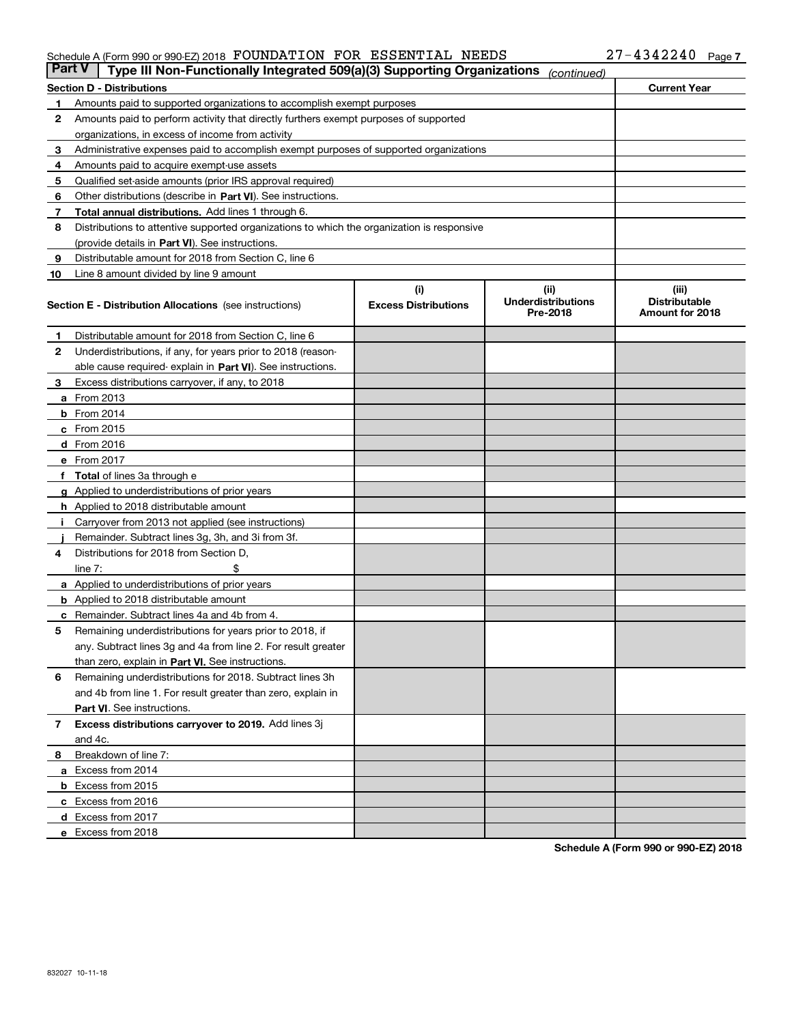## Schedule A (Form 990 or 990-EZ) 2018 Page FOUNDATION FOR ESSENTIAL NEEDS 27-4342240

|    | <b>Current Year</b><br><b>Section D - Distributions</b>                                    |                             |                                       |                                         |  |  |  |
|----|--------------------------------------------------------------------------------------------|-----------------------------|---------------------------------------|-----------------------------------------|--|--|--|
| 1  | Amounts paid to supported organizations to accomplish exempt purposes                      |                             |                                       |                                         |  |  |  |
| 2  | Amounts paid to perform activity that directly furthers exempt purposes of supported       |                             |                                       |                                         |  |  |  |
|    | organizations, in excess of income from activity                                           |                             |                                       |                                         |  |  |  |
| з  | Administrative expenses paid to accomplish exempt purposes of supported organizations      |                             |                                       |                                         |  |  |  |
| 4  | Amounts paid to acquire exempt-use assets                                                  |                             |                                       |                                         |  |  |  |
| 5  | Qualified set-aside amounts (prior IRS approval required)                                  |                             |                                       |                                         |  |  |  |
| 6  | Other distributions (describe in Part VI). See instructions.                               |                             |                                       |                                         |  |  |  |
| 7  | Total annual distributions. Add lines 1 through 6.                                         |                             |                                       |                                         |  |  |  |
| 8  | Distributions to attentive supported organizations to which the organization is responsive |                             |                                       |                                         |  |  |  |
|    | (provide details in Part VI). See instructions.                                            |                             |                                       |                                         |  |  |  |
| 9  | Distributable amount for 2018 from Section C, line 6                                       |                             |                                       |                                         |  |  |  |
| 10 | Line 8 amount divided by line 9 amount                                                     |                             |                                       |                                         |  |  |  |
|    |                                                                                            | (i)                         | (iii)                                 | (iii)                                   |  |  |  |
|    | <b>Section E - Distribution Allocations</b> (see instructions)                             | <b>Excess Distributions</b> | <b>Underdistributions</b><br>Pre-2018 | <b>Distributable</b><br>Amount for 2018 |  |  |  |
| 1  | Distributable amount for 2018 from Section C, line 6                                       |                             |                                       |                                         |  |  |  |
| 2  | Underdistributions, if any, for years prior to 2018 (reason-                               |                             |                                       |                                         |  |  |  |
|    | able cause required- explain in Part VI). See instructions.                                |                             |                                       |                                         |  |  |  |
| з  | Excess distributions carryover, if any, to 2018                                            |                             |                                       |                                         |  |  |  |
|    | <b>a</b> From 2013                                                                         |                             |                                       |                                         |  |  |  |
|    | <b>b</b> From 2014                                                                         |                             |                                       |                                         |  |  |  |
|    | $c$ From 2015                                                                              |                             |                                       |                                         |  |  |  |
|    | <b>d</b> From 2016                                                                         |                             |                                       |                                         |  |  |  |
|    | e From 2017                                                                                |                             |                                       |                                         |  |  |  |
|    | Total of lines 3a through e                                                                |                             |                                       |                                         |  |  |  |
|    | <b>g</b> Applied to underdistributions of prior years                                      |                             |                                       |                                         |  |  |  |
|    | <b>h</b> Applied to 2018 distributable amount                                              |                             |                                       |                                         |  |  |  |
|    | Carryover from 2013 not applied (see instructions)                                         |                             |                                       |                                         |  |  |  |
|    | Remainder. Subtract lines 3g, 3h, and 3i from 3f.                                          |                             |                                       |                                         |  |  |  |
| 4  | Distributions for 2018 from Section D,                                                     |                             |                                       |                                         |  |  |  |
|    | line $7:$                                                                                  |                             |                                       |                                         |  |  |  |
|    | <b>a</b> Applied to underdistributions of prior years                                      |                             |                                       |                                         |  |  |  |
|    | <b>b</b> Applied to 2018 distributable amount                                              |                             |                                       |                                         |  |  |  |
| c  | Remainder. Subtract lines 4a and 4b from 4.                                                |                             |                                       |                                         |  |  |  |
| 5  | Remaining underdistributions for years prior to 2018, if                                   |                             |                                       |                                         |  |  |  |
|    | any. Subtract lines 3g and 4a from line 2. For result greater                              |                             |                                       |                                         |  |  |  |
|    | than zero, explain in Part VI. See instructions.                                           |                             |                                       |                                         |  |  |  |
| 6  | Remaining underdistributions for 2018. Subtract lines 3h                                   |                             |                                       |                                         |  |  |  |
|    | and 4b from line 1. For result greater than zero, explain in                               |                             |                                       |                                         |  |  |  |
|    | Part VI. See instructions.                                                                 |                             |                                       |                                         |  |  |  |
| 7  | Excess distributions carryover to 2019. Add lines 3j                                       |                             |                                       |                                         |  |  |  |
|    | and 4c.                                                                                    |                             |                                       |                                         |  |  |  |
| 8  | Breakdown of line 7:                                                                       |                             |                                       |                                         |  |  |  |
|    | a Excess from 2014                                                                         |                             |                                       |                                         |  |  |  |
|    | <b>b</b> Excess from 2015                                                                  |                             |                                       |                                         |  |  |  |
|    | c Excess from 2016                                                                         |                             |                                       |                                         |  |  |  |
|    | d Excess from 2017                                                                         |                             |                                       |                                         |  |  |  |
|    | e Excess from 2018                                                                         |                             |                                       |                                         |  |  |  |

**Schedule A (Form 990 or 990-EZ) 2018**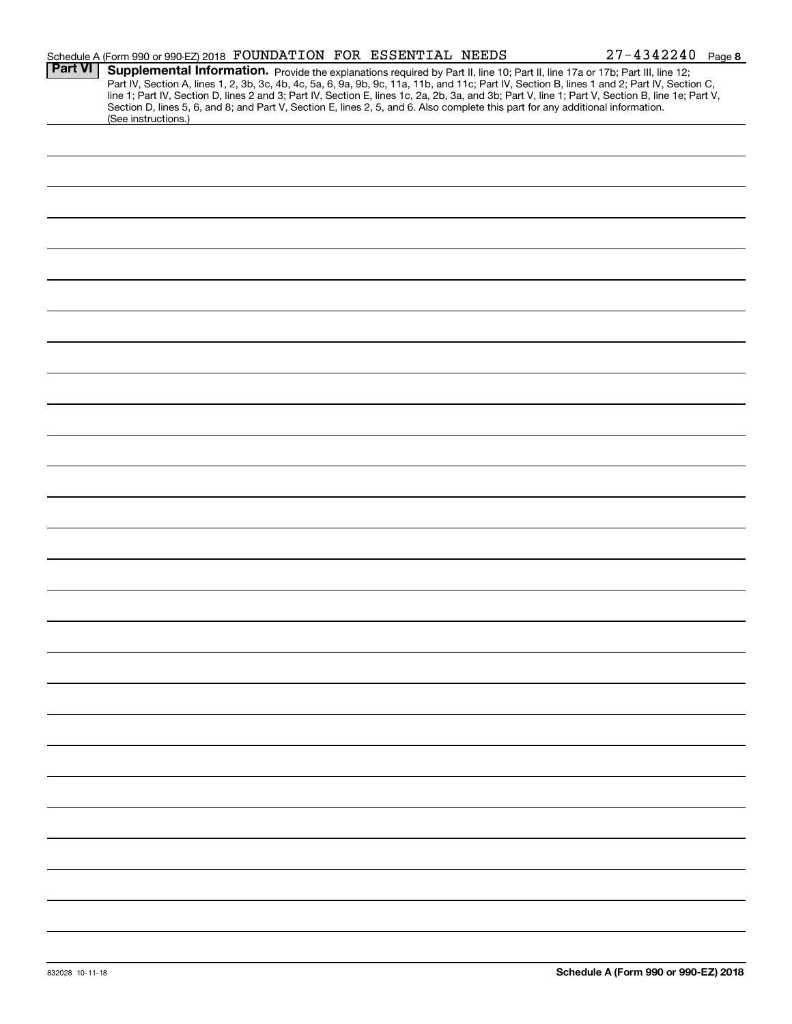|                | Schedule A (Form 990 or 990-EZ) 2018 FOUNDATION FOR ESSENTIAL NEEDS |  |  | $27 - 4342240$ Page 8                                                                                                                                                                                                                                                                                                                                                                                                                                                                                                                                                |  |
|----------------|---------------------------------------------------------------------|--|--|----------------------------------------------------------------------------------------------------------------------------------------------------------------------------------------------------------------------------------------------------------------------------------------------------------------------------------------------------------------------------------------------------------------------------------------------------------------------------------------------------------------------------------------------------------------------|--|
| <b>Part VI</b> | (See instructions.)                                                 |  |  | Supplemental Information. Provide the explanations required by Part II, line 10; Part II, line 17a or 17b; Part III, line 12;<br>Part IV, Section A, lines 1, 2, 3b, 3c, 4b, 4c, 5a, 6, 9a, 9b, 9c, 11a, 11b, and 11c; Part IV, Section B, lines 1 and 2; Part IV, Section C,<br>line 1; Part IV, Section D, lines 2 and 3; Part IV, Section E, lines 1c, 2a, 2b, 3a, and 3b; Part V, line 1; Part V, Section B, line 1e; Part V,<br>Section D, lines 5, 6, and 8; and Part V, Section E, lines 2, 5, and 6. Also complete this part for any additional information. |  |
|                |                                                                     |  |  |                                                                                                                                                                                                                                                                                                                                                                                                                                                                                                                                                                      |  |
|                |                                                                     |  |  |                                                                                                                                                                                                                                                                                                                                                                                                                                                                                                                                                                      |  |
|                |                                                                     |  |  |                                                                                                                                                                                                                                                                                                                                                                                                                                                                                                                                                                      |  |
|                |                                                                     |  |  |                                                                                                                                                                                                                                                                                                                                                                                                                                                                                                                                                                      |  |
|                |                                                                     |  |  |                                                                                                                                                                                                                                                                                                                                                                                                                                                                                                                                                                      |  |
|                |                                                                     |  |  |                                                                                                                                                                                                                                                                                                                                                                                                                                                                                                                                                                      |  |
|                |                                                                     |  |  |                                                                                                                                                                                                                                                                                                                                                                                                                                                                                                                                                                      |  |
|                |                                                                     |  |  |                                                                                                                                                                                                                                                                                                                                                                                                                                                                                                                                                                      |  |
|                |                                                                     |  |  |                                                                                                                                                                                                                                                                                                                                                                                                                                                                                                                                                                      |  |
|                |                                                                     |  |  |                                                                                                                                                                                                                                                                                                                                                                                                                                                                                                                                                                      |  |
|                |                                                                     |  |  |                                                                                                                                                                                                                                                                                                                                                                                                                                                                                                                                                                      |  |
|                |                                                                     |  |  |                                                                                                                                                                                                                                                                                                                                                                                                                                                                                                                                                                      |  |
|                |                                                                     |  |  |                                                                                                                                                                                                                                                                                                                                                                                                                                                                                                                                                                      |  |
|                |                                                                     |  |  |                                                                                                                                                                                                                                                                                                                                                                                                                                                                                                                                                                      |  |
|                |                                                                     |  |  |                                                                                                                                                                                                                                                                                                                                                                                                                                                                                                                                                                      |  |
|                |                                                                     |  |  |                                                                                                                                                                                                                                                                                                                                                                                                                                                                                                                                                                      |  |
|                |                                                                     |  |  |                                                                                                                                                                                                                                                                                                                                                                                                                                                                                                                                                                      |  |
|                |                                                                     |  |  |                                                                                                                                                                                                                                                                                                                                                                                                                                                                                                                                                                      |  |
|                |                                                                     |  |  |                                                                                                                                                                                                                                                                                                                                                                                                                                                                                                                                                                      |  |
|                |                                                                     |  |  |                                                                                                                                                                                                                                                                                                                                                                                                                                                                                                                                                                      |  |
|                |                                                                     |  |  |                                                                                                                                                                                                                                                                                                                                                                                                                                                                                                                                                                      |  |
|                |                                                                     |  |  |                                                                                                                                                                                                                                                                                                                                                                                                                                                                                                                                                                      |  |
|                |                                                                     |  |  |                                                                                                                                                                                                                                                                                                                                                                                                                                                                                                                                                                      |  |
|                |                                                                     |  |  |                                                                                                                                                                                                                                                                                                                                                                                                                                                                                                                                                                      |  |
|                |                                                                     |  |  |                                                                                                                                                                                                                                                                                                                                                                                                                                                                                                                                                                      |  |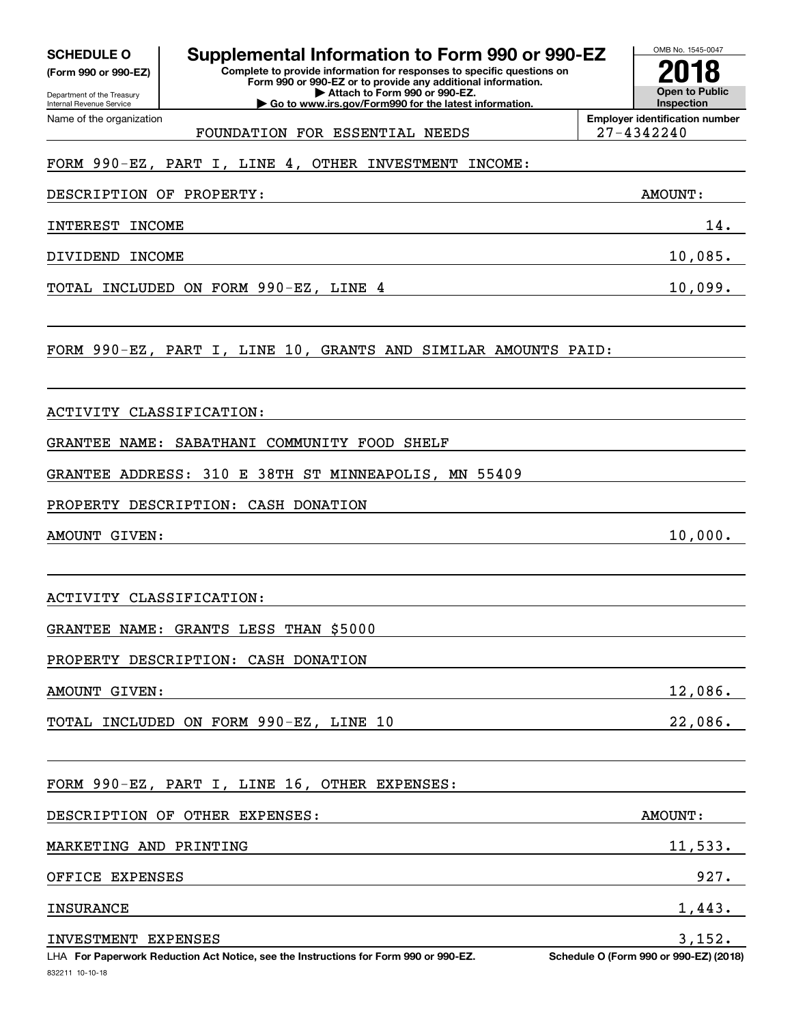**(Form 990 or 990-EZ)**

Department of the Treasury Internal Revenue Service Name of the organization

#### OMB No. 1545-0047 **Complete to provide information for responses to specific questions on Form 990 or 990-EZ or to provide any additional information. SCHEDULE O Supplemental Information to Form 990 or 990-EZ**

**| Attach to Form 990 or 990-EZ. | Go to www.irs.gov/Form990 for the latest information.**

**Open to Public InspectionEmployer identification number 2018**

FOUNDATION FOR ESSENTIAL NEEDS 27-4342240

## FORM 990-EZ, PART I, LINE 4, OTHER INVESTMENT INCOME:

DESCRIPTION OF PROPERTY: AMOUNT:

INTEREST INCOME 14.

DIVIDEND INCOME 10,085.

TOTAL INCLUDED ON FORM 990-EZ, LINE 4 10,099.

FORM 990-EZ, PART I, LINE 10, GRANTS AND SIMILAR AMOUNTS PAID:

## ACTIVITY CLASSIFICATION:

GRANTEE NAME: SABATHANI COMMUNITY FOOD SHELF

GRANTEE ADDRESS: 310 E 38TH ST MINNEAPOLIS, MN 55409

PROPERTY DESCRIPTION: CASH DONATION

AMOUNT GIVEN: 10,000.

ACTIVITY CLASSIFICATION:

GRANTEE NAME: GRANTS LESS THAN \$5000

PROPERTY DESCRIPTION: CASH DONATION

AMOUNT GIVEN: 12,086.

TOTAL INCLUDED ON FORM 990-EZ, LINE 10 22,086.

FORM 990-EZ, PART I, LINE 16, OTHER EXPENSES:

| DESCRIPTION OF OTHER EXPENSES: | AMOUNT:                                                                                                             |
|--------------------------------|---------------------------------------------------------------------------------------------------------------------|
| MARKETING AND PRINTING         | 11,533.                                                                                                             |
| OFFICE EXPENSES                | 927.                                                                                                                |
| INSURANCE                      | 1,443.                                                                                                              |
| INVESTMENT EXPENSES            | 3,152.<br>$\alpha$ i $\alpha$ / $\alpha$ $\alpha\alpha$ $\alpha\alpha$ $\alpha\alpha$ $\alpha\alpha$ $\alpha\alpha$ |

832211 10-10-18 LHA For Paperwork Reduction Act Notice, see the Instructions for Form 990 or 990-EZ. Schedule O (Form 990 or 990-EZ) (2018)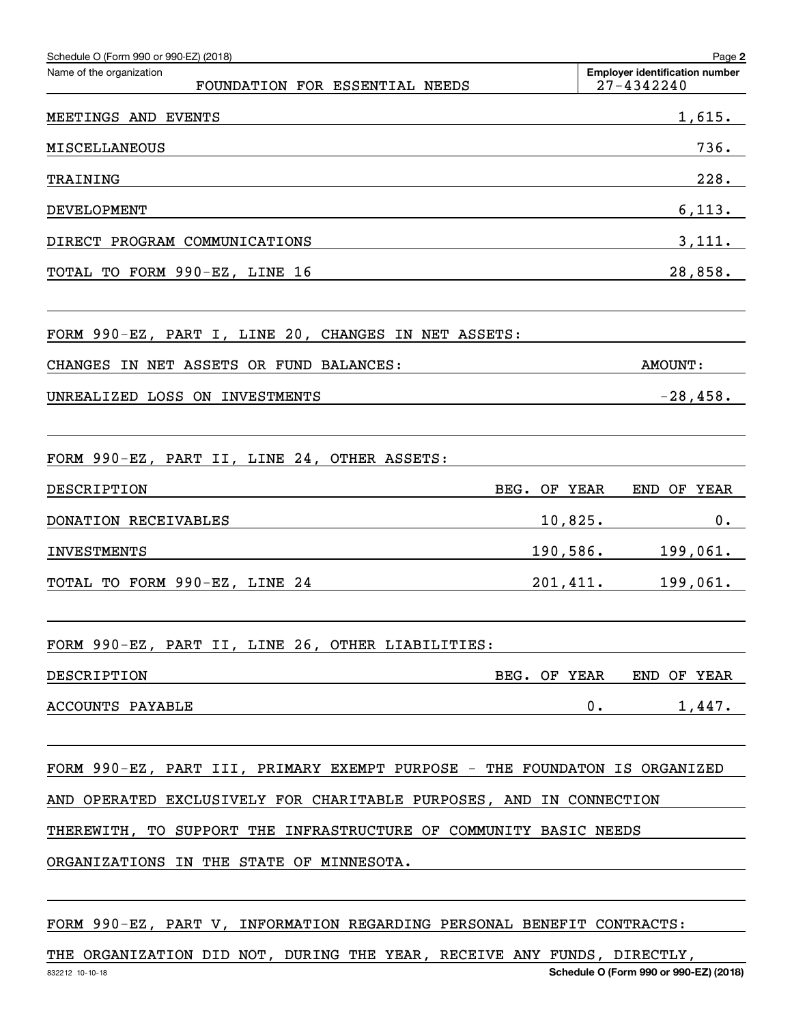| Schedule O (Form 990 or 990-EZ) (2018)                                     | Page 2                                              |
|----------------------------------------------------------------------------|-----------------------------------------------------|
| Name of the organization<br>FOUNDATION FOR ESSENTIAL NEEDS                 | <b>Employer identification number</b><br>27-4342240 |
| MEETINGS AND EVENTS                                                        | 1,615.                                              |
| <b>MISCELLANEOUS</b>                                                       | 736.                                                |
| TRAINING                                                                   | 228.                                                |
| DEVELOPMENT                                                                | 6,113.                                              |
| DIRECT PROGRAM COMMUNICATIONS                                              | 3,111.                                              |
| TOTAL TO FORM 990-EZ, LINE 16                                              | 28,858.                                             |
| FORM 990-EZ, PART I, LINE 20, CHANGES IN NET ASSETS:                       |                                                     |
| CHANGES IN NET ASSETS OR FUND BALANCES:                                    | <b>AMOUNT :</b>                                     |
| UNREALIZED LOSS ON INVESTMENTS                                             | $-28,458.$                                          |
| FORM 990-EZ, PART II, LINE 24, OTHER ASSETS:                               |                                                     |
| DESCRIPTION<br>BEG. OF YEAR                                                | END OF YEAR                                         |
| DONATION RECEIVABLES                                                       | 10,825.<br>$0$ .                                    |
| <b>INVESTMENTS</b>                                                         | $190,586.$ 199,061.                                 |
| TOTAL TO FORM 990-EZ, LINE 24                                              | 201,411. 199,061.                                   |
| FORM 990-EZ, PART II, LINE 26, OTHER LIABILITIES:                          |                                                     |
| DESCRIPTION                                                                | BEG. OF YEAR END OF YEAR                            |
| ACCOUNTS PAYABLE                                                           | 0.<br>1,447.                                        |
| FORM 990-EZ, PART III, PRIMARY EXEMPT PURPOSE - THE FOUNDATON IS ORGANIZED |                                                     |
| AND OPERATED EXCLUSIVELY FOR CHARITABLE PURPOSES, AND IN CONNECTION        |                                                     |
| THEREWITH, TO SUPPORT THE INFRASTRUCTURE OF COMMUNITY BASIC NEEDS          |                                                     |
| ORGANIZATIONS IN THE STATE OF MINNESOTA.                                   |                                                     |
| FORM 990-EZ, PART V, INFORMATION REGARDING PERSONAL BENEFIT CONTRACTS:     |                                                     |

832212 10-10-18 **Schedule O (Form 990 or 990-EZ) (2018)** THE ORGANIZATION DID NOT, DURING THE YEAR, RECEIVE ANY FUNDS, DIRECTLY,